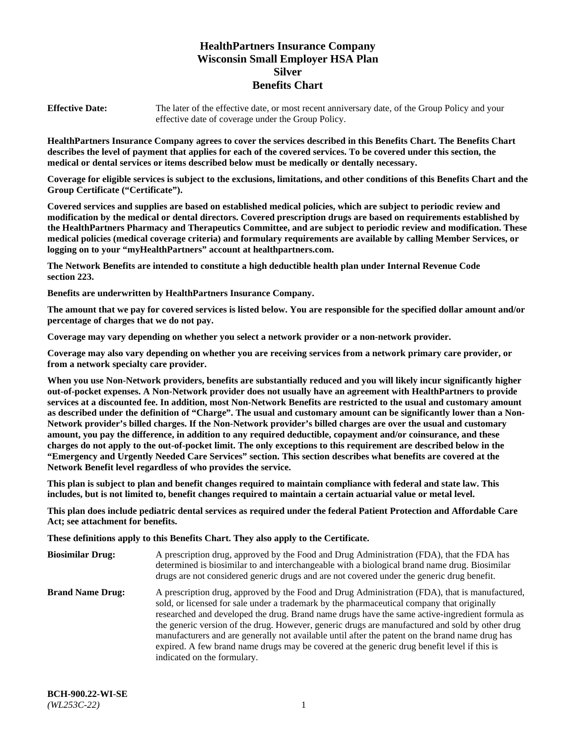# **HealthPartners Insurance Company Wisconsin Small Employer HSA Plan Silver Benefits Chart**

**Effective Date:** The later of the effective date, or most recent anniversary date, of the Group Policy and your effective date of coverage under the Group Policy.

**HealthPartners Insurance Company agrees to cover the services described in this Benefits Chart. The Benefits Chart describes the level of payment that applies for each of the covered services. To be covered under this section, the medical or dental services or items described below must be medically or dentally necessary.**

**Coverage for eligible services is subject to the exclusions, limitations, and other conditions of this Benefits Chart and the Group Certificate ("Certificate").**

**Covered services and supplies are based on established medical policies, which are subject to periodic review and modification by the medical or dental directors. Covered prescription drugs are based on requirements established by the HealthPartners Pharmacy and Therapeutics Committee, and are subject to periodic review and modification. These medical policies (medical coverage criteria) and formulary requirements are available by calling Member Services, or logging on to your "myHealthPartners" account at [healthpartners.com.](https://www.healthpartners.com/hp/index.html)** 

**The Network Benefits are intended to constitute a high deductible health plan under Internal Revenue Code section 223.**

**Benefits are underwritten by HealthPartners Insurance Company.**

**The amount that we pay for covered services is listed below. You are responsible for the specified dollar amount and/or percentage of charges that we do not pay.**

**Coverage may vary depending on whether you select a network provider or a non-network provider.**

**Coverage may also vary depending on whether you are receiving services from a network primary care provider, or from a network specialty care provider.**

**When you use Non-Network providers, benefits are substantially reduced and you will likely incur significantly higher out-of-pocket expenses. A Non-Network provider does not usually have an agreement with HealthPartners to provide services at a discounted fee. In addition, most Non-Network Benefits are restricted to the usual and customary amount as described under the definition of "Charge". The usual and customary amount can be significantly lower than a Non-Network provider's billed charges. If the Non-Network provider's billed charges are over the usual and customary amount, you pay the difference, in addition to any required deductible, copayment and/or coinsurance, and these charges do not apply to the out-of-pocket limit. The only exceptions to this requirement are described below in the "Emergency and Urgently Needed Care Services" section. This section describes what benefits are covered at the Network Benefit level regardless of who provides the service.**

**This plan is subject to plan and benefit changes required to maintain compliance with federal and state law. This includes, but is not limited to, benefit changes required to maintain a certain actuarial value or metal level.**

**This plan does include pediatric dental services as required under the federal Patient Protection and Affordable Care Act; see attachment for benefits.**

**These definitions apply to this Benefits Chart. They also apply to the Certificate.**

| <b>Biosimilar Drug:</b> | A prescription drug, approved by the Food and Drug Administration (FDA), that the FDA has<br>determined is biosimilar to and interchangeable with a biological brand name drug. Biosimilar<br>drugs are not considered generic drugs and are not covered under the generic drug benefit.                                                                                                                                                                                                                                                                                                                                           |
|-------------------------|------------------------------------------------------------------------------------------------------------------------------------------------------------------------------------------------------------------------------------------------------------------------------------------------------------------------------------------------------------------------------------------------------------------------------------------------------------------------------------------------------------------------------------------------------------------------------------------------------------------------------------|
| <b>Brand Name Drug:</b> | A prescription drug, approved by the Food and Drug Administration (FDA), that is manufactured,<br>sold, or licensed for sale under a trademark by the pharmaceutical company that originally<br>researched and developed the drug. Brand name drugs have the same active-ingredient formula as<br>the generic version of the drug. However, generic drugs are manufactured and sold by other drug<br>manufacturers and are generally not available until after the patent on the brand name drug has<br>expired. A few brand name drugs may be covered at the generic drug benefit level if this is<br>indicated on the formulary. |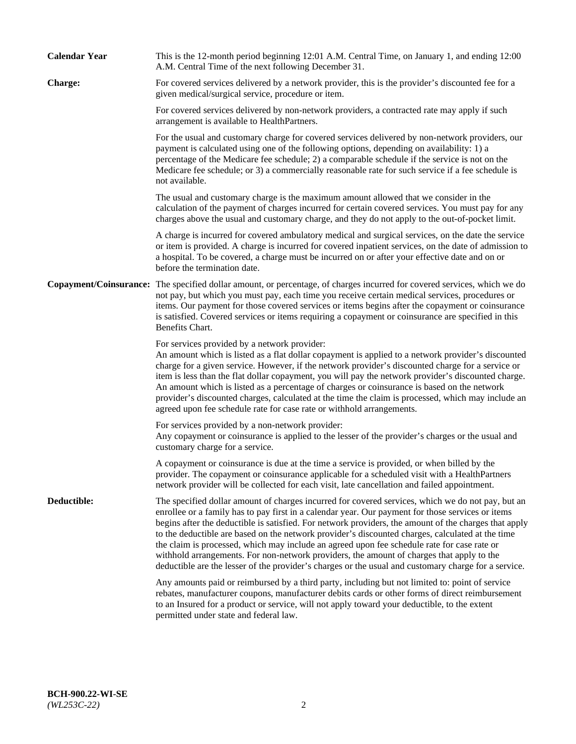| <b>Calendar Year</b> | This is the 12-month period beginning 12:01 A.M. Central Time, on January 1, and ending 12:00<br>A.M. Central Time of the next following December 31.                                                                                                                                                                                                                                                                                                                                                                                                                                                                                                                                                                   |
|----------------------|-------------------------------------------------------------------------------------------------------------------------------------------------------------------------------------------------------------------------------------------------------------------------------------------------------------------------------------------------------------------------------------------------------------------------------------------------------------------------------------------------------------------------------------------------------------------------------------------------------------------------------------------------------------------------------------------------------------------------|
| <b>Charge:</b>       | For covered services delivered by a network provider, this is the provider's discounted fee for a<br>given medical/surgical service, procedure or item.                                                                                                                                                                                                                                                                                                                                                                                                                                                                                                                                                                 |
|                      | For covered services delivered by non-network providers, a contracted rate may apply if such<br>arrangement is available to HealthPartners.                                                                                                                                                                                                                                                                                                                                                                                                                                                                                                                                                                             |
|                      | For the usual and customary charge for covered services delivered by non-network providers, our<br>payment is calculated using one of the following options, depending on availability: 1) a<br>percentage of the Medicare fee schedule; 2) a comparable schedule if the service is not on the<br>Medicare fee schedule; or 3) a commercially reasonable rate for such service if a fee schedule is<br>not available.                                                                                                                                                                                                                                                                                                   |
|                      | The usual and customary charge is the maximum amount allowed that we consider in the<br>calculation of the payment of charges incurred for certain covered services. You must pay for any<br>charges above the usual and customary charge, and they do not apply to the out-of-pocket limit.                                                                                                                                                                                                                                                                                                                                                                                                                            |
|                      | A charge is incurred for covered ambulatory medical and surgical services, on the date the service<br>or item is provided. A charge is incurred for covered inpatient services, on the date of admission to<br>a hospital. To be covered, a charge must be incurred on or after your effective date and on or<br>before the termination date.                                                                                                                                                                                                                                                                                                                                                                           |
|                      | Copayment/Coinsurance: The specified dollar amount, or percentage, of charges incurred for covered services, which we do<br>not pay, but which you must pay, each time you receive certain medical services, procedures or<br>items. Our payment for those covered services or items begins after the copayment or coinsurance<br>is satisfied. Covered services or items requiring a copayment or coinsurance are specified in this<br>Benefits Chart.                                                                                                                                                                                                                                                                 |
|                      | For services provided by a network provider:<br>An amount which is listed as a flat dollar copayment is applied to a network provider's discounted<br>charge for a given service. However, if the network provider's discounted charge for a service or<br>item is less than the flat dollar copayment, you will pay the network provider's discounted charge.<br>An amount which is listed as a percentage of charges or coinsurance is based on the network<br>provider's discounted charges, calculated at the time the claim is processed, which may include an<br>agreed upon fee schedule rate for case rate or withhold arrangements.                                                                            |
|                      | For services provided by a non-network provider:<br>Any copayment or coinsurance is applied to the lesser of the provider's charges or the usual and<br>customary charge for a service.                                                                                                                                                                                                                                                                                                                                                                                                                                                                                                                                 |
|                      | A copayment or coinsurance is due at the time a service is provided, or when billed by the<br>provider. The copayment or coinsurance applicable for a scheduled visit with a HealthPartners<br>network provider will be collected for each visit, late cancellation and failed appointment.                                                                                                                                                                                                                                                                                                                                                                                                                             |
| Deductible:          | The specified dollar amount of charges incurred for covered services, which we do not pay, but an<br>enrollee or a family has to pay first in a calendar year. Our payment for those services or items<br>begins after the deductible is satisfied. For network providers, the amount of the charges that apply<br>to the deductible are based on the network provider's discounted charges, calculated at the time<br>the claim is processed, which may include an agreed upon fee schedule rate for case rate or<br>withhold arrangements. For non-network providers, the amount of charges that apply to the<br>deductible are the lesser of the provider's charges or the usual and customary charge for a service. |
|                      | Any amounts paid or reimbursed by a third party, including but not limited to: point of service<br>rebates, manufacturer coupons, manufacturer debits cards or other forms of direct reimbursement<br>to an Insured for a product or service, will not apply toward your deductible, to the extent<br>permitted under state and federal law.                                                                                                                                                                                                                                                                                                                                                                            |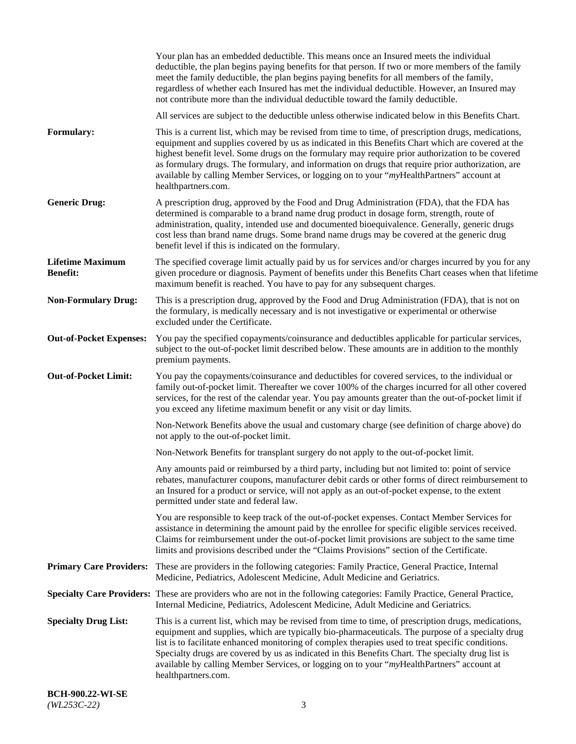|                                            | Your plan has an embedded deductible. This means once an Insured meets the individual<br>deductible, the plan begins paying benefits for that person. If two or more members of the family<br>meet the family deductible, the plan begins paying benefits for all members of the family,<br>regardless of whether each Insured has met the individual deductible. However, an Insured may<br>not contribute more than the individual deductible toward the family deductible.                                                         |
|--------------------------------------------|---------------------------------------------------------------------------------------------------------------------------------------------------------------------------------------------------------------------------------------------------------------------------------------------------------------------------------------------------------------------------------------------------------------------------------------------------------------------------------------------------------------------------------------|
|                                            | All services are subject to the deductible unless otherwise indicated below in this Benefits Chart.                                                                                                                                                                                                                                                                                                                                                                                                                                   |
| Formulary:                                 | This is a current list, which may be revised from time to time, of prescription drugs, medications,<br>equipment and supplies covered by us as indicated in this Benefits Chart which are covered at the<br>highest benefit level. Some drugs on the formulary may require prior authorization to be covered<br>as formulary drugs. The formulary, and information on drugs that require prior authorization, are<br>available by calling Member Services, or logging on to your "myHealthPartners" account at<br>healthpartners.com. |
| <b>Generic Drug:</b>                       | A prescription drug, approved by the Food and Drug Administration (FDA), that the FDA has<br>determined is comparable to a brand name drug product in dosage form, strength, route of<br>administration, quality, intended use and documented bioequivalence. Generally, generic drugs<br>cost less than brand name drugs. Some brand name drugs may be covered at the generic drug<br>benefit level if this is indicated on the formulary.                                                                                           |
| <b>Lifetime Maximum</b><br><b>Benefit:</b> | The specified coverage limit actually paid by us for services and/or charges incurred by you for any<br>given procedure or diagnosis. Payment of benefits under this Benefits Chart ceases when that lifetime<br>maximum benefit is reached. You have to pay for any subsequent charges.                                                                                                                                                                                                                                              |
| <b>Non-Formulary Drug:</b>                 | This is a prescription drug, approved by the Food and Drug Administration (FDA), that is not on<br>the formulary, is medically necessary and is not investigative or experimental or otherwise<br>excluded under the Certificate.                                                                                                                                                                                                                                                                                                     |
| <b>Out-of-Pocket Expenses:</b>             | You pay the specified copayments/coinsurance and deductibles applicable for particular services,<br>subject to the out-of-pocket limit described below. These amounts are in addition to the monthly<br>premium payments.                                                                                                                                                                                                                                                                                                             |
| <b>Out-of-Pocket Limit:</b>                | You pay the copayments/coinsurance and deductibles for covered services, to the individual or<br>family out-of-pocket limit. Thereafter we cover 100% of the charges incurred for all other covered<br>services, for the rest of the calendar year. You pay amounts greater than the out-of-pocket limit if<br>you exceed any lifetime maximum benefit or any visit or day limits.                                                                                                                                                    |
|                                            | Non-Network Benefits above the usual and customary charge (see definition of charge above) do<br>not apply to the out-of-pocket limit.                                                                                                                                                                                                                                                                                                                                                                                                |
|                                            | Non-Network Benefits for transplant surgery do not apply to the out-of-pocket limit.                                                                                                                                                                                                                                                                                                                                                                                                                                                  |
|                                            | Any amounts paid or reimbursed by a third party, including but not limited to: point of service<br>rebates, manufacturer coupons, manufacturer debit cards or other forms of direct reimbursement to<br>an Insured for a product or service, will not apply as an out-of-pocket expense, to the extent<br>permitted under state and federal law.                                                                                                                                                                                      |
|                                            | You are responsible to keep track of the out-of-pocket expenses. Contact Member Services for<br>assistance in determining the amount paid by the enrollee for specific eligible services received.<br>Claims for reimbursement under the out-of-pocket limit provisions are subject to the same time<br>limits and provisions described under the "Claims Provisions" section of the Certificate.                                                                                                                                     |
| <b>Primary Care Providers:</b>             | These are providers in the following categories: Family Practice, General Practice, Internal<br>Medicine, Pediatrics, Adolescent Medicine, Adult Medicine and Geriatrics.                                                                                                                                                                                                                                                                                                                                                             |
|                                            | Specialty Care Providers: These are providers who are not in the following categories: Family Practice, General Practice,<br>Internal Medicine, Pediatrics, Adolescent Medicine, Adult Medicine and Geriatrics.                                                                                                                                                                                                                                                                                                                       |
| <b>Specialty Drug List:</b>                | This is a current list, which may be revised from time to time, of prescription drugs, medications,<br>equipment and supplies, which are typically bio-pharmaceuticals. The purpose of a specialty drug<br>list is to facilitate enhanced monitoring of complex therapies used to treat specific conditions.<br>Specialty drugs are covered by us as indicated in this Benefits Chart. The specialty drug list is<br>available by calling Member Services, or logging on to your "myHealthPartners" account at<br>healthpartners.com. |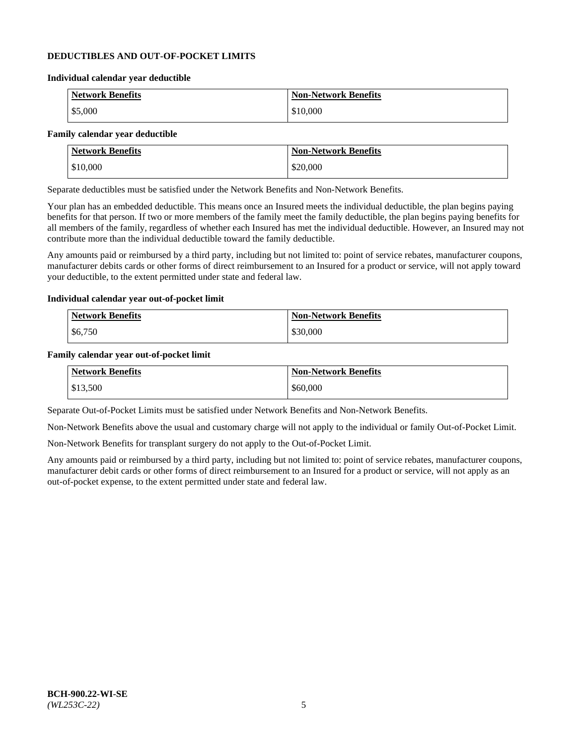### **DEDUCTIBLES AND OUT-OF-POCKET LIMITS**

#### **Individual calendar year deductible**

| <b>Network Benefits</b> | <b>Non-Network Benefits</b> |
|-------------------------|-----------------------------|
| \$5,000                 | \$10,000                    |

### **Family calendar year deductible**

| <b>Network Benefits</b> | <b>Non-Network Benefits</b> |
|-------------------------|-----------------------------|
| \$10,000                | \$20,000                    |

Separate deductibles must be satisfied under the Network Benefits and Non-Network Benefits.

Your plan has an embedded deductible. This means once an Insured meets the individual deductible, the plan begins paying benefits for that person. If two or more members of the family meet the family deductible, the plan begins paying benefits for all members of the family, regardless of whether each Insured has met the individual deductible. However, an Insured may not contribute more than the individual deductible toward the family deductible.

Any amounts paid or reimbursed by a third party, including but not limited to: point of service rebates, manufacturer coupons, manufacturer debits cards or other forms of direct reimbursement to an Insured for a product or service, will not apply toward your deductible, to the extent permitted under state and federal law.

#### **Individual calendar year out-of-pocket limit**

| Network Benefits | <b>Non-Network Benefits</b> |
|------------------|-----------------------------|
| \$6,750          | \$30,000                    |

#### **Family calendar year out-of-pocket limit**

| <b>Network Benefits</b> | <b>Non-Network Benefits</b> |
|-------------------------|-----------------------------|
| \$13,500                | \$60,000                    |

Separate Out-of-Pocket Limits must be satisfied under Network Benefits and Non-Network Benefits.

Non-Network Benefits above the usual and customary charge will not apply to the individual or family Out-of-Pocket Limit.

Non-Network Benefits for transplant surgery do not apply to the Out-of-Pocket Limit.

Any amounts paid or reimbursed by a third party, including but not limited to: point of service rebates, manufacturer coupons, manufacturer debit cards or other forms of direct reimbursement to an Insured for a product or service, will not apply as an out-of-pocket expense, to the extent permitted under state and federal law.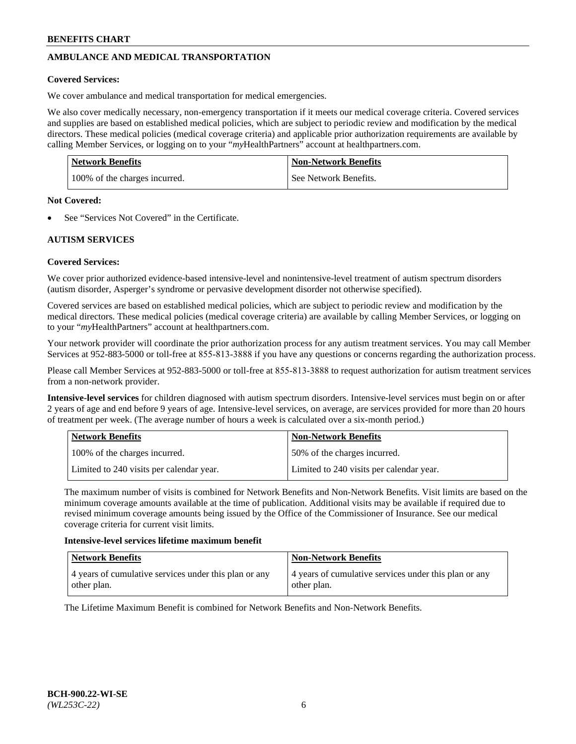# **AMBULANCE AND MEDICAL TRANSPORTATION**

### **Covered Services:**

We cover ambulance and medical transportation for medical emergencies.

We also cover medically necessary, non-emergency transportation if it meets our medical coverage criteria. Covered services and supplies are based on established medical policies, which are subject to periodic review and modification by the medical directors. These medical policies (medical coverage criteria) and applicable prior authorization requirements are available by calling Member Services, or logging on to your "*my*HealthPartners" account a[t healthpartners.com.](https://www.healthpartners.com/hp/index.html)

| Network Benefits              | <b>Non-Network Benefits</b> |
|-------------------------------|-----------------------------|
| 100% of the charges incurred. | See Network Benefits.       |

#### **Not Covered:**

See "Services Not Covered" in the Certificate.

# **AUTISM SERVICES**

## **Covered Services:**

We cover prior authorized evidence-based intensive-level and nonintensive-level treatment of autism spectrum disorders (autism disorder, Asperger's syndrome or pervasive development disorder not otherwise specified).

Covered services are based on established medical policies, which are subject to periodic review and modification by the medical directors. These medical policies (medical coverage criteria) are available by calling Member Services, or logging on to your "*my*HealthPartners" account at [healthpartners.com.](https://www.healthpartners.com/hp/index.html)

Your network provider will coordinate the prior authorization process for any autism treatment services. You may call Member Services at 952-883-5000 or toll-free at 855-813-3888 if you have any questions or concerns regarding the authorization process.

Please call Member Services at 952-883-5000 or toll-free at 855-813-3888 to request authorization for autism treatment services from a non-network provider.

**Intensive-level services** for children diagnosed with autism spectrum disorders. Intensive-level services must begin on or after 2 years of age and end before 9 years of age. Intensive-level services, on average, are services provided for more than 20 hours of treatment per week. (The average number of hours a week is calculated over a six-month period.)

| Network Benefits                         | <b>Non-Network Benefits</b>              |
|------------------------------------------|------------------------------------------|
| 100% of the charges incurred.            | 50% of the charges incurred.             |
| Limited to 240 visits per calendar year. | Limited to 240 visits per calendar year. |

The maximum number of visits is combined for Network Benefits and Non-Network Benefits. Visit limits are based on the minimum coverage amounts available at the time of publication. Additional visits may be available if required due to revised minimum coverage amounts being issued by the Office of the Commissioner of Insurance. See our medical coverage criteria for current visit limits.

#### **Intensive-level services lifetime maximum benefit**

| Network Benefits                                                     | <b>Non-Network Benefits</b>                                          |
|----------------------------------------------------------------------|----------------------------------------------------------------------|
| 4 years of cumulative services under this plan or any<br>other plan. | 4 years of cumulative services under this plan or any<br>other plan. |

The Lifetime Maximum Benefit is combined for Network Benefits and Non-Network Benefits.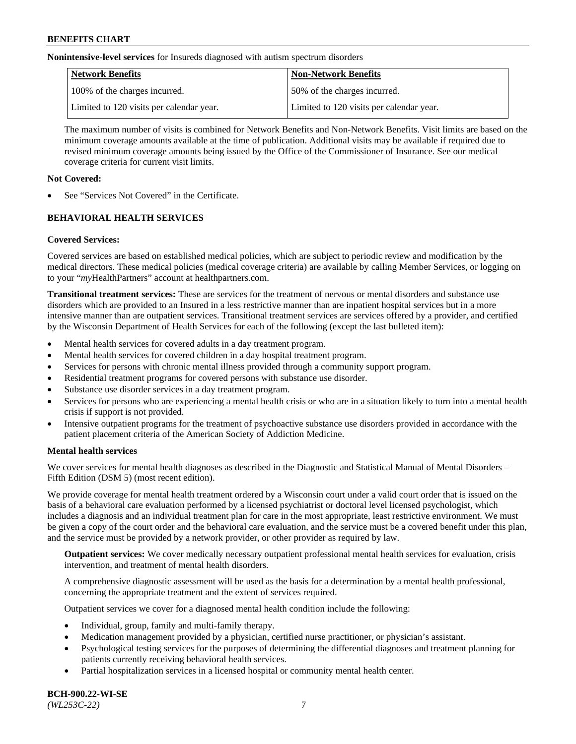**Nonintensive-level services** for Insureds diagnosed with autism spectrum disorders

| Network Benefits                         | <b>Non-Network Benefits</b>              |
|------------------------------------------|------------------------------------------|
| 100% of the charges incurred.            | 50% of the charges incurred.             |
| Limited to 120 visits per calendar year. | Limited to 120 visits per calendar year. |

The maximum number of visits is combined for Network Benefits and Non-Network Benefits. Visit limits are based on the minimum coverage amounts available at the time of publication. Additional visits may be available if required due to revised minimum coverage amounts being issued by the Office of the Commissioner of Insurance. See our medical coverage criteria for current visit limits.

## **Not Covered:**

See "Services Not Covered" in the Certificate.

# **BEHAVIORAL HEALTH SERVICES**

## **Covered Services:**

Covered services are based on established medical policies, which are subject to periodic review and modification by the medical directors. These medical policies (medical coverage criteria) are available by calling Member Services, or logging on to your "*my*HealthPartners" account at [healthpartners.com.](https://www.healthpartners.com/hp/index.html)

**Transitional treatment services:** These are services for the treatment of nervous or mental disorders and substance use disorders which are provided to an Insured in a less restrictive manner than are inpatient hospital services but in a more intensive manner than are outpatient services. Transitional treatment services are services offered by a provider, and certified by the Wisconsin Department of Health Services for each of the following (except the last bulleted item):

- Mental health services for covered adults in a day treatment program.
- Mental health services for covered children in a day hospital treatment program.
- Services for persons with chronic mental illness provided through a community support program.
- Residential treatment programs for covered persons with substance use disorder.
- Substance use disorder services in a day treatment program.
- Services for persons who are experiencing a mental health crisis or who are in a situation likely to turn into a mental health crisis if support is not provided.
- Intensive outpatient programs for the treatment of psychoactive substance use disorders provided in accordance with the patient placement criteria of the American Society of Addiction Medicine.

## **Mental health services**

We cover services for mental health diagnoses as described in the Diagnostic and Statistical Manual of Mental Disorders – Fifth Edition (DSM 5) (most recent edition).

We provide coverage for mental health treatment ordered by a Wisconsin court under a valid court order that is issued on the basis of a behavioral care evaluation performed by a licensed psychiatrist or doctoral level licensed psychologist, which includes a diagnosis and an individual treatment plan for care in the most appropriate, least restrictive environment. We must be given a copy of the court order and the behavioral care evaluation, and the service must be a covered benefit under this plan, and the service must be provided by a network provider, or other provider as required by law.

**Outpatient services:** We cover medically necessary outpatient professional mental health services for evaluation, crisis intervention, and treatment of mental health disorders.

A comprehensive diagnostic assessment will be used as the basis for a determination by a mental health professional, concerning the appropriate treatment and the extent of services required.

Outpatient services we cover for a diagnosed mental health condition include the following:

- Individual, group, family and multi-family therapy.
- Medication management provided by a physician, certified nurse practitioner, or physician's assistant.
- Psychological testing services for the purposes of determining the differential diagnoses and treatment planning for patients currently receiving behavioral health services.
- Partial hospitalization services in a licensed hospital or community mental health center.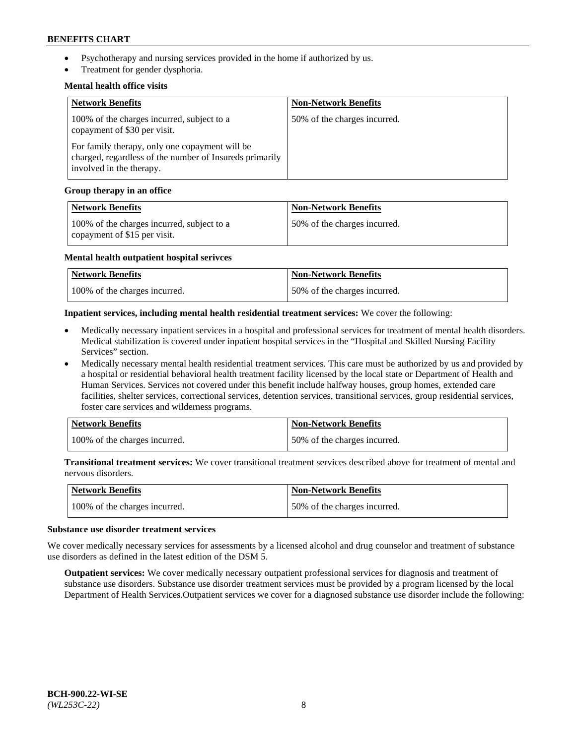- Psychotherapy and nursing services provided in the home if authorized by us.
- Treatment for gender dysphoria.

### **Mental health office visits**

| <b>Network Benefits</b>                                                                                                               | <b>Non-Network Benefits</b>  |
|---------------------------------------------------------------------------------------------------------------------------------------|------------------------------|
| 100% of the charges incurred, subject to a<br>copayment of \$30 per visit.                                                            | 50% of the charges incurred. |
| For family therapy, only one copayment will be<br>charged, regardless of the number of Insureds primarily<br>involved in the therapy. |                              |

### **Group therapy in an office**

| <b>Network Benefits</b>                                                    | <b>Non-Network Benefits</b>  |
|----------------------------------------------------------------------------|------------------------------|
| 100% of the charges incurred, subject to a<br>copayment of \$15 per visit. | 50% of the charges incurred. |

#### **Mental health outpatient hospital serivces**

| Network Benefits              | <b>Non-Network Benefits</b>  |
|-------------------------------|------------------------------|
| 100% of the charges incurred. | 50% of the charges incurred. |

### **Inpatient services, including mental health residential treatment services:** We cover the following:

- Medically necessary inpatient services in a hospital and professional services for treatment of mental health disorders. Medical stabilization is covered under inpatient hospital services in the "Hospital and Skilled Nursing Facility Services" section.
- Medically necessary mental health residential treatment services. This care must be authorized by us and provided by a hospital or residential behavioral health treatment facility licensed by the local state or Department of Health and Human Services. Services not covered under this benefit include halfway houses, group homes, extended care facilities, shelter services, correctional services, detention services, transitional services, group residential services, foster care services and wilderness programs.

| <b>Network Benefits</b>       | <b>Non-Network Benefits</b>  |
|-------------------------------|------------------------------|
| 100% of the charges incurred. | 50% of the charges incurred. |

**Transitional treatment services:** We cover transitional treatment services described above for treatment of mental and nervous disorders.

| Network Benefits              | <b>Non-Network Benefits</b>  |
|-------------------------------|------------------------------|
| 100% of the charges incurred. | 50% of the charges incurred. |

#### **Substance use disorder treatment services**

We cover medically necessary services for assessments by a licensed alcohol and drug counselor and treatment of substance use disorders as defined in the latest edition of the DSM 5.

**Outpatient services:** We cover medically necessary outpatient professional services for diagnosis and treatment of substance use disorders. Substance use disorder treatment services must be provided by a program licensed by the local Department of Health Services.Outpatient services we cover for a diagnosed substance use disorder include the following: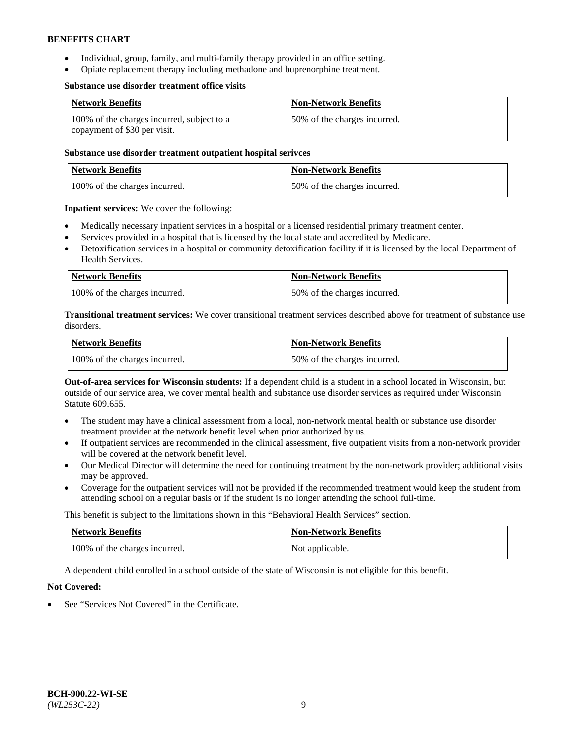- Individual, group, family, and multi-family therapy provided in an office setting.
- Opiate replacement therapy including methadone and buprenorphine treatment.

#### **Substance use disorder treatment office visits**

| <b>Network Benefits</b>                                                    | <b>Non-Network Benefits</b>  |
|----------------------------------------------------------------------------|------------------------------|
| 100% of the charges incurred, subject to a<br>copayment of \$30 per visit. | 50% of the charges incurred. |

### **Substance use disorder treatment outpatient hospital serivces**

| Network Benefits              | <b>Non-Network Benefits</b>  |
|-------------------------------|------------------------------|
| 100% of the charges incurred. | 50% of the charges incurred. |

**Inpatient services:** We cover the following:

- Medically necessary inpatient services in a hospital or a licensed residential primary treatment center.
- Services provided in a hospital that is licensed by the local state and accredited by Medicare.
- Detoxification services in a hospital or community detoxification facility if it is licensed by the local Department of Health Services.

| Network Benefits              | <b>Non-Network Benefits</b>  |
|-------------------------------|------------------------------|
| 100% of the charges incurred. | 50% of the charges incurred. |

**Transitional treatment services:** We cover transitional treatment services described above for treatment of substance use disorders.

| Network Benefits              | <b>Non-Network Benefits</b>  |
|-------------------------------|------------------------------|
| 100% of the charges incurred. | 50% of the charges incurred. |

**Out-of-area services for Wisconsin students:** If a dependent child is a student in a school located in Wisconsin, but outside of our service area, we cover mental health and substance use disorder services as required under Wisconsin Statute 609.655.

- The student may have a clinical assessment from a local, non-network mental health or substance use disorder treatment provider at the network benefit level when prior authorized by us.
- If outpatient services are recommended in the clinical assessment, five outpatient visits from a non-network provider will be covered at the network benefit level.
- Our Medical Director will determine the need for continuing treatment by the non-network provider; additional visits may be approved.
- Coverage for the outpatient services will not be provided if the recommended treatment would keep the student from attending school on a regular basis or if the student is no longer attending the school full-time.

This benefit is subject to the limitations shown in this "Behavioral Health Services" section.

| <b>Network Benefits</b>       | <b>Non-Network Benefits</b> |
|-------------------------------|-----------------------------|
| 100% of the charges incurred. | Not applicable.             |

A dependent child enrolled in a school outside of the state of Wisconsin is not eligible for this benefit.

## **Not Covered:**

See "Services Not Covered" in the Certificate.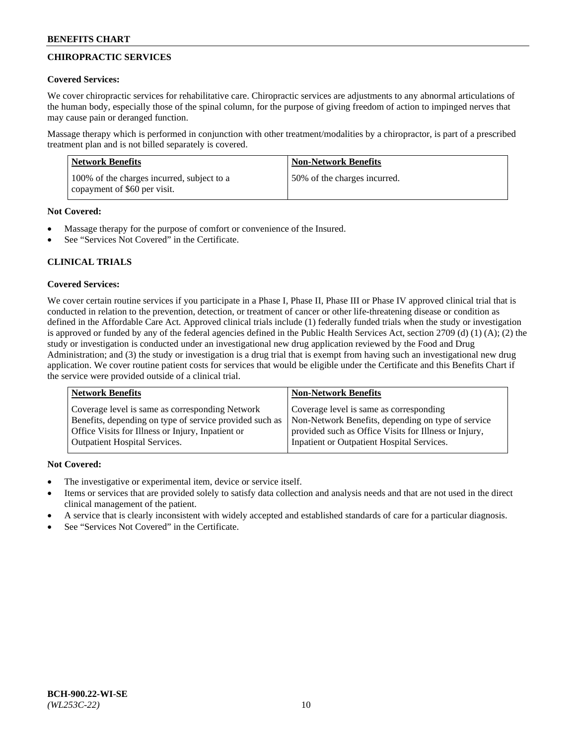# **CHIROPRACTIC SERVICES**

## **Covered Services:**

We cover chiropractic services for rehabilitative care. Chiropractic services are adjustments to any abnormal articulations of the human body, especially those of the spinal column, for the purpose of giving freedom of action to impinged nerves that may cause pain or deranged function.

Massage therapy which is performed in conjunction with other treatment/modalities by a chiropractor, is part of a prescribed treatment plan and is not billed separately is covered.

| Network Benefits                                                           | <b>Non-Network Benefits</b>  |
|----------------------------------------------------------------------------|------------------------------|
| 100% of the charges incurred, subject to a<br>copayment of \$60 per visit. | 50% of the charges incurred. |

# **Not Covered:**

- Massage therapy for the purpose of comfort or convenience of the Insured.
- See "Services Not Covered" in the Certificate.

# **CLINICAL TRIALS**

# **Covered Services:**

We cover certain routine services if you participate in a Phase I, Phase II, Phase III or Phase IV approved clinical trial that is conducted in relation to the prevention, detection, or treatment of cancer or other life-threatening disease or condition as defined in the Affordable Care Act. Approved clinical trials include (1) federally funded trials when the study or investigation is approved or funded by any of the federal agencies defined in the Public Health Services Act, section 2709 (d) (1) (A); (2) the study or investigation is conducted under an investigational new drug application reviewed by the Food and Drug Administration; and (3) the study or investigation is a drug trial that is exempt from having such an investigational new drug application. We cover routine patient costs for services that would be eligible under the Certificate and this Benefits Chart if the service were provided outside of a clinical trial.

| <b>Network Benefits</b>                                 | <b>Non-Network Benefits</b>                           |
|---------------------------------------------------------|-------------------------------------------------------|
| Coverage level is same as corresponding Network         | Coverage level is same as corresponding               |
| Benefits, depending on type of service provided such as | Non-Network Benefits, depending on type of service    |
| Office Visits for Illness or Injury, Inpatient or       | provided such as Office Visits for Illness or Injury, |
| <b>Outpatient Hospital Services.</b>                    | Inpatient or Outpatient Hospital Services.            |

# **Not Covered:**

- The investigative or experimental item, device or service itself.
- Items or services that are provided solely to satisfy data collection and analysis needs and that are not used in the direct clinical management of the patient.
- A service that is clearly inconsistent with widely accepted and established standards of care for a particular diagnosis.
- See "Services Not Covered" in the Certificate.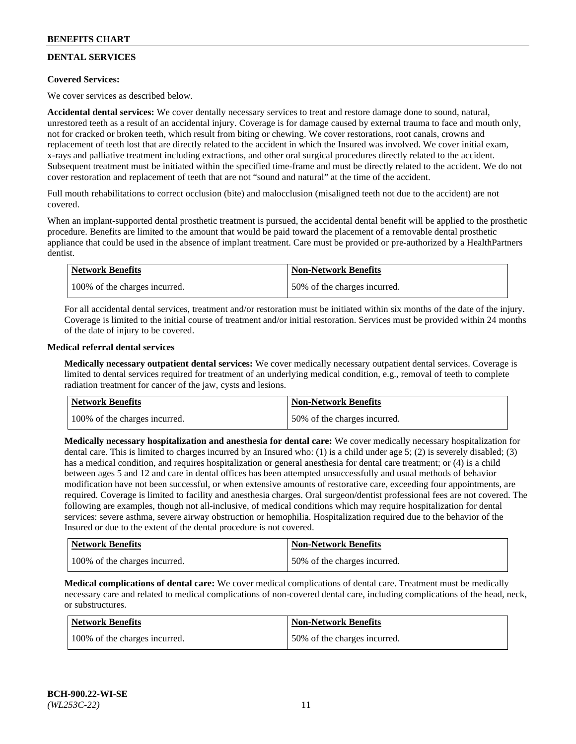# **DENTAL SERVICES**

## **Covered Services:**

We cover services as described below.

**Accidental dental services:** We cover dentally necessary services to treat and restore damage done to sound, natural, unrestored teeth as a result of an accidental injury. Coverage is for damage caused by external trauma to face and mouth only, not for cracked or broken teeth, which result from biting or chewing. We cover restorations, root canals, crowns and replacement of teeth lost that are directly related to the accident in which the Insured was involved. We cover initial exam, x-rays and palliative treatment including extractions, and other oral surgical procedures directly related to the accident. Subsequent treatment must be initiated within the specified time-frame and must be directly related to the accident. We do not cover restoration and replacement of teeth that are not "sound and natural" at the time of the accident.

Full mouth rehabilitations to correct occlusion (bite) and malocclusion (misaligned teeth not due to the accident) are not covered.

When an implant-supported dental prosthetic treatment is pursued, the accidental dental benefit will be applied to the prosthetic procedure. Benefits are limited to the amount that would be paid toward the placement of a removable dental prosthetic appliance that could be used in the absence of implant treatment. Care must be provided or pre-authorized by a HealthPartners dentist.

| Network Benefits              | <b>Non-Network Benefits</b>  |
|-------------------------------|------------------------------|
| 100% of the charges incurred. | 50% of the charges incurred. |

For all accidental dental services, treatment and/or restoration must be initiated within six months of the date of the injury. Coverage is limited to the initial course of treatment and/or initial restoration. Services must be provided within 24 months of the date of injury to be covered.

### **Medical referral dental services**

**Medically necessary outpatient dental services:** We cover medically necessary outpatient dental services. Coverage is limited to dental services required for treatment of an underlying medical condition, e.g., removal of teeth to complete radiation treatment for cancer of the jaw, cysts and lesions.

| Network Benefits              | <b>Non-Network Benefits</b>  |
|-------------------------------|------------------------------|
| 100% of the charges incurred. | 50% of the charges incurred. |

**Medically necessary hospitalization and anesthesia for dental care:** We cover medically necessary hospitalization for dental care. This is limited to charges incurred by an Insured who: (1) is a child under age  $5$ ; (2) is severely disabled; (3) has a medical condition, and requires hospitalization or general anesthesia for dental care treatment; or (4) is a child between ages 5 and 12 and care in dental offices has been attempted unsuccessfully and usual methods of behavior modification have not been successful, or when extensive amounts of restorative care, exceeding four appointments, are required. Coverage is limited to facility and anesthesia charges. Oral surgeon/dentist professional fees are not covered. The following are examples, though not all-inclusive, of medical conditions which may require hospitalization for dental services: severe asthma, severe airway obstruction or hemophilia. Hospitalization required due to the behavior of the Insured or due to the extent of the dental procedure is not covered.

| Network Benefits              | <b>Non-Network Benefits</b>  |
|-------------------------------|------------------------------|
| 100% of the charges incurred. | 50% of the charges incurred. |

**Medical complications of dental care:** We cover medical complications of dental care. Treatment must be medically necessary care and related to medical complications of non-covered dental care, including complications of the head, neck, or substructures.

| Network Benefits              | <b>Non-Network Benefits</b>  |
|-------------------------------|------------------------------|
| 100% of the charges incurred. | 50% of the charges incurred. |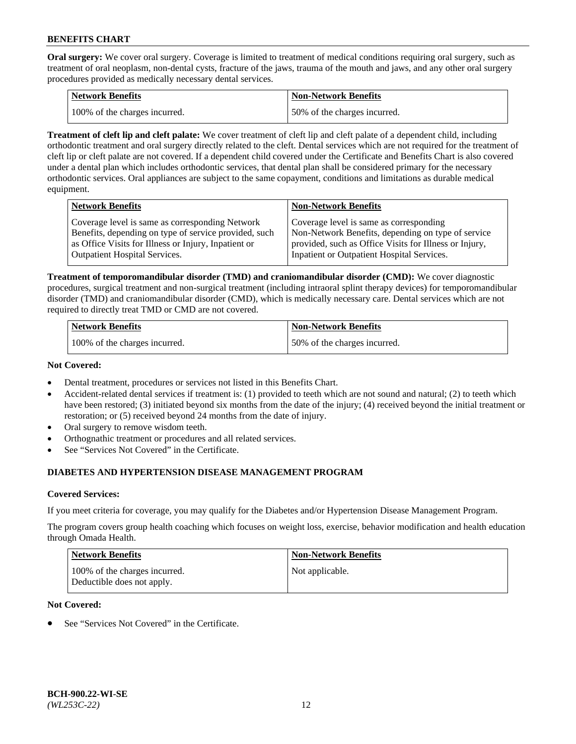**Oral surgery:** We cover oral surgery. Coverage is limited to treatment of medical conditions requiring oral surgery, such as treatment of oral neoplasm, non-dental cysts, fracture of the jaws, trauma of the mouth and jaws, and any other oral surgery procedures provided as medically necessary dental services.

| <b>Network Benefits</b>       | <b>Non-Network Benefits</b>  |
|-------------------------------|------------------------------|
| 100% of the charges incurred. | 50% of the charges incurred. |

**Treatment of cleft lip and cleft palate:** We cover treatment of cleft lip and cleft palate of a dependent child, including orthodontic treatment and oral surgery directly related to the cleft. Dental services which are not required for the treatment of cleft lip or cleft palate are not covered. If a dependent child covered under the Certificate and Benefits Chart is also covered under a dental plan which includes orthodontic services, that dental plan shall be considered primary for the necessary orthodontic services. Oral appliances are subject to the same copayment, conditions and limitations as durable medical equipment.

| <b>Network Benefits</b>                               | <b>Non-Network Benefits</b>                            |
|-------------------------------------------------------|--------------------------------------------------------|
| Coverage level is same as corresponding Network       | Coverage level is same as corresponding                |
| Benefits, depending on type of service provided, such | Non-Network Benefits, depending on type of service     |
| as Office Visits for Illness or Injury, Inpatient or  | provided, such as Office Visits for Illness or Injury, |
| <b>Outpatient Hospital Services.</b>                  | Inpatient or Outpatient Hospital Services.             |

**Treatment of temporomandibular disorder (TMD) and craniomandibular disorder (CMD):** We cover diagnostic procedures, surgical treatment and non-surgical treatment (including intraoral splint therapy devices) for temporomandibular disorder (TMD) and craniomandibular disorder (CMD), which is medically necessary care. Dental services which are not required to directly treat TMD or CMD are not covered.

| <b>Network Benefits</b>       | <b>Non-Network Benefits</b>  |
|-------------------------------|------------------------------|
| 100% of the charges incurred. | 50% of the charges incurred. |

### **Not Covered:**

- Dental treatment, procedures or services not listed in this Benefits Chart.
- Accident-related dental services if treatment is: (1) provided to teeth which are not sound and natural; (2) to teeth which have been restored; (3) initiated beyond six months from the date of the injury; (4) received beyond the initial treatment or restoration; or (5) received beyond 24 months from the date of injury.
- Oral surgery to remove wisdom teeth.
- Orthognathic treatment or procedures and all related services.
- See "Services Not Covered" in the Certificate.

# **DIABETES AND HYPERTENSION DISEASE MANAGEMENT PROGRAM**

## **Covered Services:**

If you meet criteria for coverage, you may qualify for the Diabetes and/or Hypertension Disease Management Program.

The program covers group health coaching which focuses on weight loss, exercise, behavior modification and health education through Omada Health.

| <b>Network Benefits</b>                                     | <b>Non-Network Benefits</b> |
|-------------------------------------------------------------|-----------------------------|
| 100% of the charges incurred.<br>Deductible does not apply. | Not applicable.             |

## **Not Covered:**

See "Services Not Covered" in the Certificate.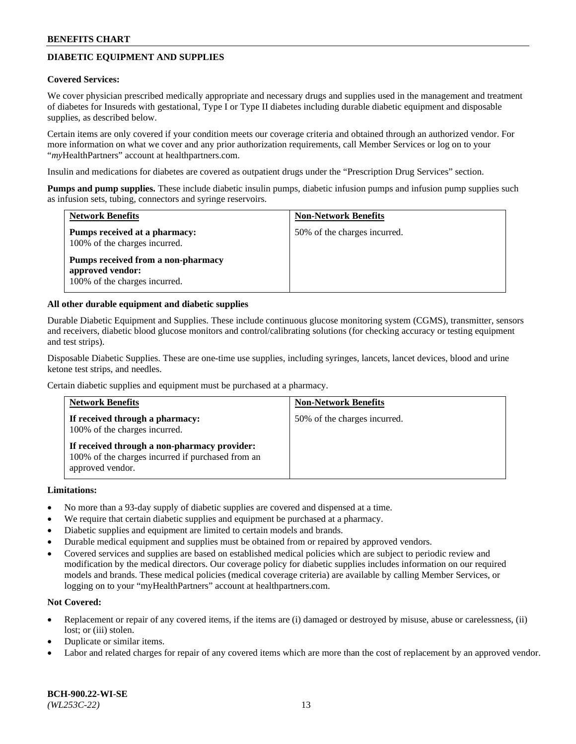# **DIABETIC EQUIPMENT AND SUPPLIES**

#### **Covered Services:**

We cover physician prescribed medically appropriate and necessary drugs and supplies used in the management and treatment of diabetes for Insureds with gestational, Type I or Type II diabetes including durable diabetic equipment and disposable supplies, as described below.

Certain items are only covered if your condition meets our coverage criteria and obtained through an authorized vendor. For more information on what we cover and any prior authorization requirements, call Member Services or log on to your "*my*HealthPartners" account at [healthpartners.com.](http://www.healthpartners.com/)

Insulin and medications for diabetes are covered as outpatient drugs under the "Prescription Drug Services" section.

**Pumps and pump supplies.** These include diabetic insulin pumps, diabetic infusion pumps and infusion pump supplies such as infusion sets, tubing, connectors and syringe reservoirs.

| <b>Network Benefits</b>                                                                 | <b>Non-Network Benefits</b>  |
|-----------------------------------------------------------------------------------------|------------------------------|
| Pumps received at a pharmacy:<br>100% of the charges incurred.                          | 50% of the charges incurred. |
| Pumps received from a non-pharmacy<br>approved vendor:<br>100% of the charges incurred. |                              |

### **All other durable equipment and diabetic supplies**

Durable Diabetic Equipment and Supplies. These include continuous glucose monitoring system (CGMS), transmitter, sensors and receivers, diabetic blood glucose monitors and control/calibrating solutions (for checking accuracy or testing equipment and test strips).

Disposable Diabetic Supplies. These are one-time use supplies, including syringes, lancets, lancet devices, blood and urine ketone test strips, and needles.

Certain diabetic supplies and equipment must be purchased at a pharmacy.

| <b>Network Benefits</b>                                                                                               | <b>Non-Network Benefits</b>  |
|-----------------------------------------------------------------------------------------------------------------------|------------------------------|
| If received through a pharmacy:<br>100% of the charges incurred.                                                      | 50% of the charges incurred. |
| If received through a non-pharmacy provider:<br>100% of the charges incurred if purchased from an<br>approved vendor. |                              |

#### **Limitations:**

- No more than a 93-day supply of diabetic supplies are covered and dispensed at a time.
- We require that certain diabetic supplies and equipment be purchased at a pharmacy.
- Diabetic supplies and equipment are limited to certain models and brands.
- Durable medical equipment and supplies must be obtained from or repaired by approved vendors.
- Covered services and supplies are based on established medical policies which are subject to periodic review and modification by the medical directors. Our coverage policy for diabetic supplies includes information on our required models and brands. These medical policies (medical coverage criteria) are available by calling Member Services, or logging on to your "myHealthPartners" account at [healthpartners.com.](http://www.healthpartners.com/)

## **Not Covered:**

- Replacement or repair of any covered items, if the items are (i) damaged or destroyed by misuse, abuse or carelessness, (ii) lost; or (iii) stolen.
- Duplicate or similar items.
- Labor and related charges for repair of any covered items which are more than the cost of replacement by an approved vendor.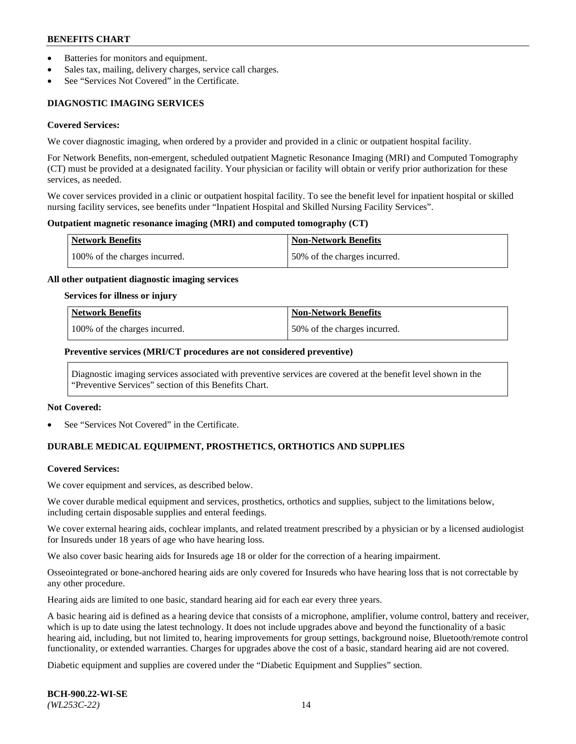- Batteries for monitors and equipment.
- Sales tax, mailing, delivery charges, service call charges.
- See "Services Not Covered" in the Certificate.

# **DIAGNOSTIC IMAGING SERVICES**

#### **Covered Services:**

We cover diagnostic imaging, when ordered by a provider and provided in a clinic or outpatient hospital facility.

For Network Benefits, non-emergent, scheduled outpatient Magnetic Resonance Imaging (MRI) and Computed Tomography (CT) must be provided at a designated facility. Your physician or facility will obtain or verify prior authorization for these services, as needed.

We cover services provided in a clinic or outpatient hospital facility. To see the benefit level for inpatient hospital or skilled nursing facility services, see benefits under "Inpatient Hospital and Skilled Nursing Facility Services".

### **Outpatient magnetic resonance imaging (MRI) and computed tomography (CT)**

| <b>Network Benefits</b>       | <b>Non-Network Benefits</b>  |
|-------------------------------|------------------------------|
| 100% of the charges incurred. | 50% of the charges incurred. |

### **All other outpatient diagnostic imaging services**

#### **Services for illness or injury**

| Network Benefits              | <b>Non-Network Benefits</b>  |
|-------------------------------|------------------------------|
| 100% of the charges incurred. | 50% of the charges incurred. |

### **Preventive services (MRI/CT procedures are not considered preventive)**

Diagnostic imaging services associated with preventive services are covered at the benefit level shown in the "Preventive Services" section of this Benefits Chart.

#### **Not Covered:**

See "Services Not Covered" in the Certificate.

# **DURABLE MEDICAL EQUIPMENT, PROSTHETICS, ORTHOTICS AND SUPPLIES**

#### **Covered Services:**

We cover equipment and services, as described below.

We cover durable medical equipment and services, prosthetics, orthotics and supplies, subject to the limitations below, including certain disposable supplies and enteral feedings.

We cover external hearing aids, cochlear implants, and related treatment prescribed by a physician or by a licensed audiologist for Insureds under 18 years of age who have hearing loss.

We also cover basic hearing aids for Insureds age 18 or older for the correction of a hearing impairment.

Osseointegrated or bone-anchored hearing aids are only covered for Insureds who have hearing loss that is not correctable by any other procedure.

Hearing aids are limited to one basic, standard hearing aid for each ear every three years.

A basic hearing aid is defined as a hearing device that consists of a microphone, amplifier, volume control, battery and receiver, which is up to date using the latest technology. It does not include upgrades above and beyond the functionality of a basic hearing aid, including, but not limited to, hearing improvements for group settings, background noise, Bluetooth/remote control functionality, or extended warranties. Charges for upgrades above the cost of a basic, standard hearing aid are not covered.

Diabetic equipment and supplies are covered under the "Diabetic Equipment and Supplies" section.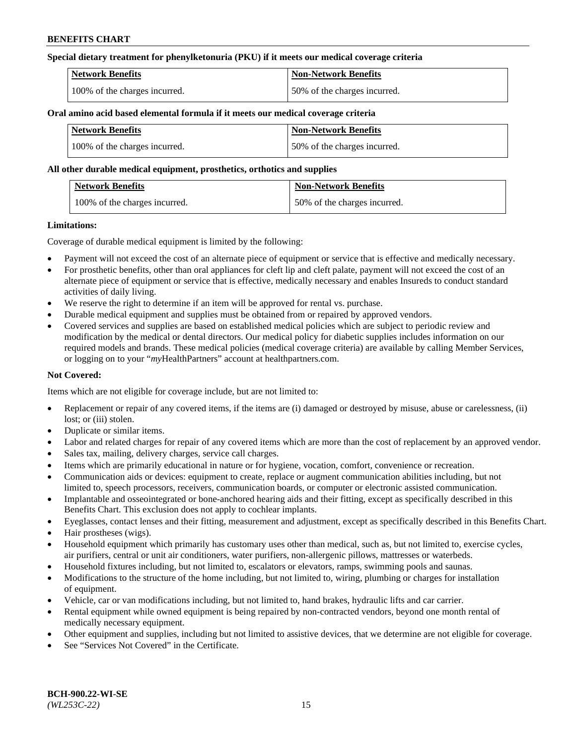## **Special dietary treatment for phenylketonuria (PKU) if it meets our medical coverage criteria**

| <b>Network Benefits</b>       | <b>Non-Network Benefits</b>  |
|-------------------------------|------------------------------|
| 100% of the charges incurred. | 50% of the charges incurred. |

### **Oral amino acid based elemental formula if it meets our medical coverage criteria**

| Network Benefits              | <b>Non-Network Benefits</b>  |
|-------------------------------|------------------------------|
| 100% of the charges incurred. | 50% of the charges incurred. |

### **All other durable medical equipment, prosthetics, orthotics and supplies**

| <b>Network Benefits</b>       | <b>Non-Network Benefits</b>  |
|-------------------------------|------------------------------|
| 100% of the charges incurred. | 50% of the charges incurred. |

### **Limitations:**

Coverage of durable medical equipment is limited by the following:

- Payment will not exceed the cost of an alternate piece of equipment or service that is effective and medically necessary.
- For prosthetic benefits, other than oral appliances for cleft lip and cleft palate, payment will not exceed the cost of an alternate piece of equipment or service that is effective, medically necessary and enables Insureds to conduct standard activities of daily living.
- We reserve the right to determine if an item will be approved for rental vs. purchase.
- Durable medical equipment and supplies must be obtained from or repaired by approved vendors.
- Covered services and supplies are based on established medical policies which are subject to periodic review and modification by the medical or dental directors. Our medical policy for diabetic supplies includes information on our required models and brands. These medical policies (medical coverage criteria) are available by calling Member Services, or logging on to your "*my*HealthPartners" account a[t healthpartners.com.](http://www.healthpartners.com/)

## **Not Covered:**

Items which are not eligible for coverage include, but are not limited to:

- Replacement or repair of any covered items, if the items are (i) damaged or destroyed by misuse, abuse or carelessness, (ii) lost; or (iii) stolen.
- Duplicate or similar items.
- Labor and related charges for repair of any covered items which are more than the cost of replacement by an approved vendor.
- Sales tax, mailing, delivery charges, service call charges.
- Items which are primarily educational in nature or for hygiene, vocation, comfort, convenience or recreation.
- Communication aids or devices: equipment to create, replace or augment communication abilities including, but not limited to, speech processors, receivers, communication boards, or computer or electronic assisted communication.
- Implantable and osseointegrated or bone-anchored hearing aids and their fitting, except as specifically described in this Benefits Chart. This exclusion does not apply to cochlear implants.
- Eyeglasses, contact lenses and their fitting, measurement and adjustment, except as specifically described in this Benefits Chart.
- Hair prostheses (wigs).
- Household equipment which primarily has customary uses other than medical, such as, but not limited to, exercise cycles, air purifiers, central or unit air conditioners, water purifiers, non-allergenic pillows, mattresses or waterbeds.
- Household fixtures including, but not limited to, escalators or elevators, ramps, swimming pools and saunas.
- Modifications to the structure of the home including, but not limited to, wiring, plumbing or charges for installation of equipment.
- Vehicle, car or van modifications including, but not limited to, hand brakes, hydraulic lifts and car carrier.
- Rental equipment while owned equipment is being repaired by non-contracted vendors, beyond one month rental of medically necessary equipment.
- Other equipment and supplies, including but not limited to assistive devices, that we determine are not eligible for coverage.
- See "Services Not Covered" in the Certificate.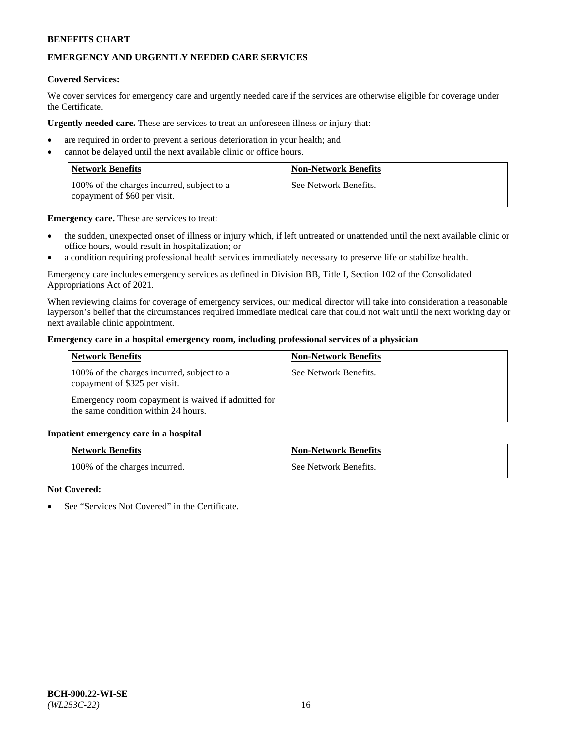# **EMERGENCY AND URGENTLY NEEDED CARE SERVICES**

### **Covered Services:**

We cover services for emergency care and urgently needed care if the services are otherwise eligible for coverage under the Certificate.

**Urgently needed care.** These are services to treat an unforeseen illness or injury that:

- are required in order to prevent a serious deterioration in your health; and
- cannot be delayed until the next available clinic or office hours.

| <b>Network Benefits</b>                                                    | <b>Non-Network Benefits</b> |
|----------------------------------------------------------------------------|-----------------------------|
| 100% of the charges incurred, subject to a<br>copayment of \$60 per visit. | See Network Benefits.       |

**Emergency care.** These are services to treat:

- the sudden, unexpected onset of illness or injury which, if left untreated or unattended until the next available clinic or office hours, would result in hospitalization; or
- a condition requiring professional health services immediately necessary to preserve life or stabilize health.

Emergency care includes emergency services as defined in Division BB, Title I, Section 102 of the Consolidated Appropriations Act of 2021.

When reviewing claims for coverage of emergency services, our medical director will take into consideration a reasonable layperson's belief that the circumstances required immediate medical care that could not wait until the next working day or next available clinic appointment.

### **Emergency care in a hospital emergency room, including professional services of a physician**

| <b>Network Benefits</b>                                                                   | <b>Non-Network Benefits</b> |
|-------------------------------------------------------------------------------------------|-----------------------------|
| 100% of the charges incurred, subject to a<br>copayment of \$325 per visit.               | See Network Benefits.       |
| Emergency room copayment is waived if admitted for<br>the same condition within 24 hours. |                             |

#### **Inpatient emergency care in a hospital**

| <b>Network Benefits</b>       | Non-Network Benefits    |
|-------------------------------|-------------------------|
| 100% of the charges incurred. | l See Network Benefits. |

### **Not Covered:**

See "Services Not Covered" in the Certificate.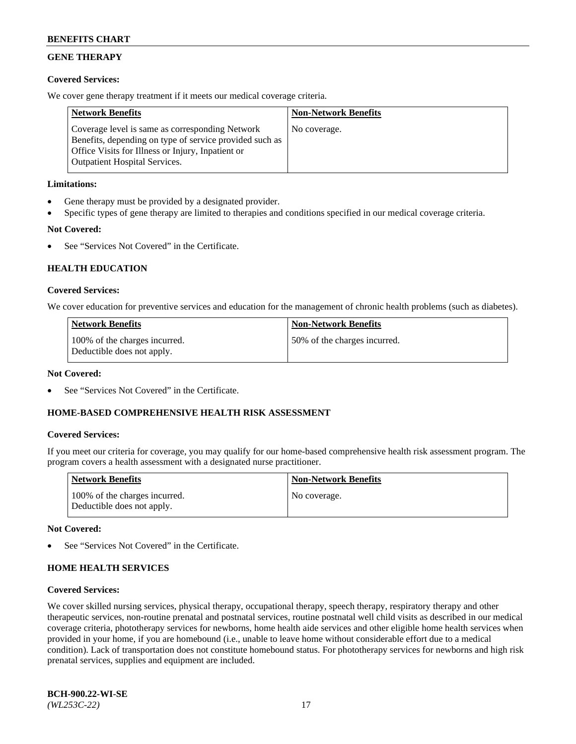# **GENE THERAPY**

## **Covered Services:**

We cover gene therapy treatment if it meets our medical coverage criteria.

| <b>Network Benefits</b>                                                                                                                                                                                 | <b>Non-Network Benefits</b> |
|---------------------------------------------------------------------------------------------------------------------------------------------------------------------------------------------------------|-----------------------------|
| Coverage level is same as corresponding Network<br>Benefits, depending on type of service provided such as<br>Office Visits for Illness or Injury, Inpatient or<br><b>Outpatient Hospital Services.</b> | No coverage.                |

## **Limitations:**

- Gene therapy must be provided by a designated provider.
- Specific types of gene therapy are limited to therapies and conditions specified in our medical coverage criteria.

# **Not Covered:**

See "Services Not Covered" in the Certificate.

## **HEALTH EDUCATION**

### **Covered Services:**

We cover education for preventive services and education for the management of chronic health problems (such as diabetes).

| <b>Network Benefits</b>                                     | <b>Non-Network Benefits</b>  |
|-------------------------------------------------------------|------------------------------|
| 100% of the charges incurred.<br>Deductible does not apply. | 50% of the charges incurred. |

#### **Not Covered:**

See "Services Not Covered" in the Certificate.

## **HOME-BASED COMPREHENSIVE HEALTH RISK ASSESSMENT**

#### **Covered Services:**

If you meet our criteria for coverage, you may qualify for our home-based comprehensive health risk assessment program. The program covers a health assessment with a designated nurse practitioner.

| <b>Network Benefits</b>                                     | <b>Non-Network Benefits</b> |
|-------------------------------------------------------------|-----------------------------|
| 100% of the charges incurred.<br>Deductible does not apply. | No coverage.                |

#### **Not Covered:**

See "Services Not Covered" in the Certificate.

## **HOME HEALTH SERVICES**

#### **Covered Services:**

We cover skilled nursing services, physical therapy, occupational therapy, speech therapy, respiratory therapy and other therapeutic services, non-routine prenatal and postnatal services, routine postnatal well child visits as described in our medical coverage criteria, phototherapy services for newborns, home health aide services and other eligible home health services when provided in your home, if you are homebound (i.e., unable to leave home without considerable effort due to a medical condition). Lack of transportation does not constitute homebound status. For phototherapy services for newborns and high risk prenatal services, supplies and equipment are included.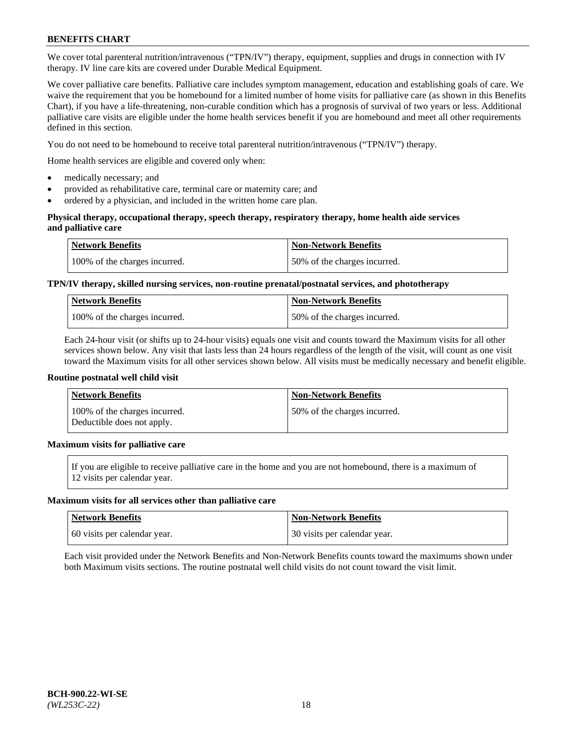We cover total parenteral nutrition/intravenous ("TPN/IV") therapy, equipment, supplies and drugs in connection with IV therapy. IV line care kits are covered under Durable Medical Equipment.

We cover palliative care benefits. Palliative care includes symptom management, education and establishing goals of care. We waive the requirement that you be homebound for a limited number of home visits for palliative care (as shown in this Benefits Chart), if you have a life-threatening, non-curable condition which has a prognosis of survival of two years or less. Additional palliative care visits are eligible under the home health services benefit if you are homebound and meet all other requirements defined in this section.

You do not need to be homebound to receive total parenteral nutrition/intravenous ("TPN/IV") therapy.

Home health services are eligible and covered only when:

- medically necessary; and
- provided as rehabilitative care, terminal care or maternity care; and
- ordered by a physician, and included in the written home care plan.

### **Physical therapy, occupational therapy, speech therapy, respiratory therapy, home health aide services and palliative care**

| <b>Network Benefits</b>       | <b>Non-Network Benefits</b>  |
|-------------------------------|------------------------------|
| 100% of the charges incurred. | 50% of the charges incurred. |

# **TPN/IV therapy, skilled nursing services, non-routine prenatal/postnatal services, and phototherapy**

| <b>Network Benefits</b>       | <b>Non-Network Benefits</b>  |
|-------------------------------|------------------------------|
| 100% of the charges incurred. | 50% of the charges incurred. |

Each 24-hour visit (or shifts up to 24-hour visits) equals one visit and counts toward the Maximum visits for all other services shown below. Any visit that lasts less than 24 hours regardless of the length of the visit, will count as one visit toward the Maximum visits for all other services shown below. All visits must be medically necessary and benefit eligible.

#### **Routine postnatal well child visit**

| <b>Network Benefits</b>                                     | <b>Non-Network Benefits</b>  |
|-------------------------------------------------------------|------------------------------|
| 100% of the charges incurred.<br>Deductible does not apply. | 50% of the charges incurred. |

# **Maximum visits for palliative care**

If you are eligible to receive palliative care in the home and you are not homebound, there is a maximum of 12 visits per calendar year.

#### **Maximum visits for all services other than palliative care**

| Network Benefits             | <b>Non-Network Benefits</b>  |
|------------------------------|------------------------------|
| 60 visits per calendar year. | 30 visits per calendar year. |

Each visit provided under the Network Benefits and Non-Network Benefits counts toward the maximums shown under both Maximum visits sections. The routine postnatal well child visits do not count toward the visit limit.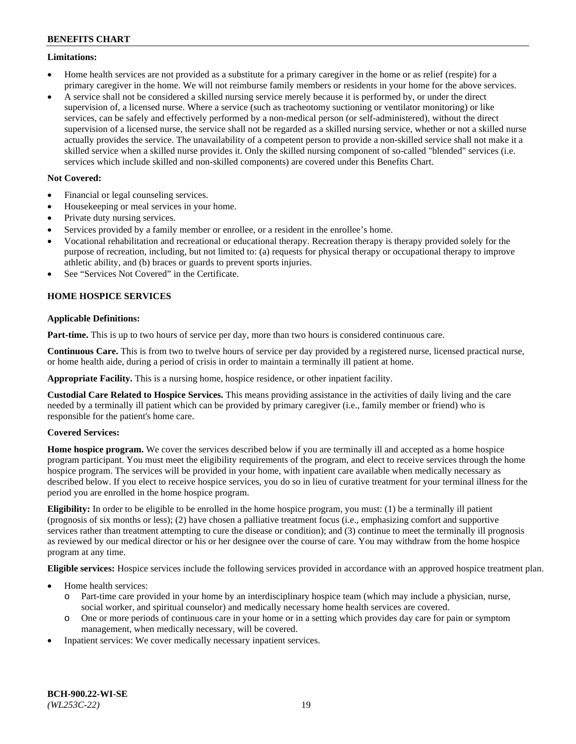## **Limitations:**

- Home health services are not provided as a substitute for a primary caregiver in the home or as relief (respite) for a primary caregiver in the home. We will not reimburse family members or residents in your home for the above services.
- A service shall not be considered a skilled nursing service merely because it is performed by, or under the direct supervision of, a licensed nurse. Where a service (such as tracheotomy suctioning or ventilator monitoring) or like services, can be safely and effectively performed by a non-medical person (or self-administered), without the direct supervision of a licensed nurse, the service shall not be regarded as a skilled nursing service, whether or not a skilled nurse actually provides the service. The unavailability of a competent person to provide a non-skilled service shall not make it a skilled service when a skilled nurse provides it. Only the skilled nursing component of so-called "blended" services (i.e. services which include skilled and non-skilled components) are covered under this Benefits Chart.

## **Not Covered:**

- Financial or legal counseling services.
- Housekeeping or meal services in your home.
- Private duty nursing services.
- Services provided by a family member or enrollee, or a resident in the enrollee's home.
- Vocational rehabilitation and recreational or educational therapy. Recreation therapy is therapy provided solely for the purpose of recreation, including, but not limited to: (a) requests for physical therapy or occupational therapy to improve athletic ability, and (b) braces or guards to prevent sports injuries.
- See "Services Not Covered" in the Certificate.

# **HOME HOSPICE SERVICES**

## **Applicable Definitions:**

**Part-time.** This is up to two hours of service per day, more than two hours is considered continuous care.

**Continuous Care.** This is from two to twelve hours of service per day provided by a registered nurse, licensed practical nurse, or home health aide, during a period of crisis in order to maintain a terminally ill patient at home.

**Appropriate Facility.** This is a nursing home, hospice residence, or other inpatient facility.

**Custodial Care Related to Hospice Services.** This means providing assistance in the activities of daily living and the care needed by a terminally ill patient which can be provided by primary caregiver (i.e., family member or friend) who is responsible for the patient's home care.

## **Covered Services:**

**Home hospice program.** We cover the services described below if you are terminally ill and accepted as a home hospice program participant. You must meet the eligibility requirements of the program, and elect to receive services through the home hospice program. The services will be provided in your home, with inpatient care available when medically necessary as described below. If you elect to receive hospice services, you do so in lieu of curative treatment for your terminal illness for the period you are enrolled in the home hospice program.

**Eligibility:** In order to be eligible to be enrolled in the home hospice program, you must: (1) be a terminally ill patient (prognosis of six months or less); (2) have chosen a palliative treatment focus (i.e., emphasizing comfort and supportive services rather than treatment attempting to cure the disease or condition); and (3) continue to meet the terminally ill prognosis as reviewed by our medical director or his or her designee over the course of care. You may withdraw from the home hospice program at any time.

**Eligible services:** Hospice services include the following services provided in accordance with an approved hospice treatment plan.

- Home health services:
	- o Part-time care provided in your home by an interdisciplinary hospice team (which may include a physician, nurse, social worker, and spiritual counselor) and medically necessary home health services are covered.
	- o One or more periods of continuous care in your home or in a setting which provides day care for pain or symptom management, when medically necessary, will be covered.
- Inpatient services: We cover medically necessary inpatient services.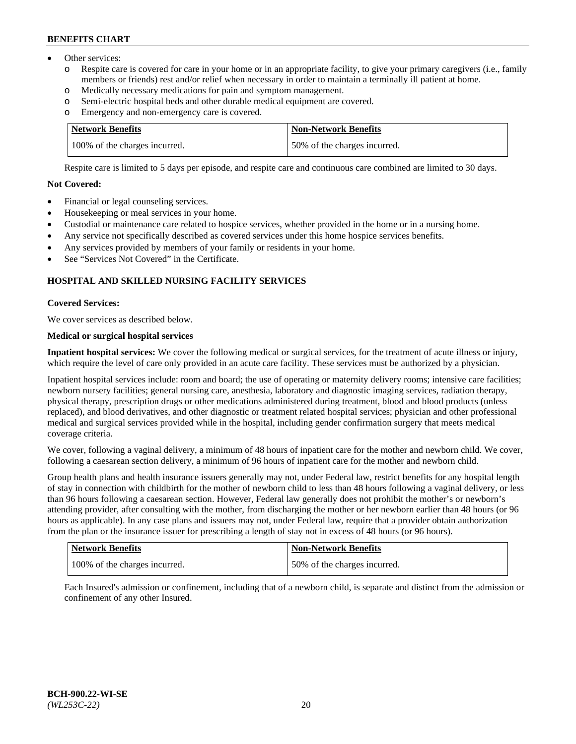- Other services:
	- Respite care is covered for care in your home or in an appropriate facility, to give your primary caregivers (i.e., family members or friends) rest and/or relief when necessary in order to maintain a terminally ill patient at home.
	- o Medically necessary medications for pain and symptom management.
	- o Semi-electric hospital beds and other durable medical equipment are covered.
	- Emergency and non-emergency care is covered.

| Network Benefits              | <b>Non-Network Benefits</b>  |
|-------------------------------|------------------------------|
| 100% of the charges incurred. | 50% of the charges incurred. |

Respite care is limited to 5 days per episode, and respite care and continuous care combined are limited to 30 days.

# **Not Covered:**

- Financial or legal counseling services.
- Housekeeping or meal services in your home.
- Custodial or maintenance care related to hospice services, whether provided in the home or in a nursing home.
- Any service not specifically described as covered services under this home hospice services benefits.
- Any services provided by members of your family or residents in your home.
- See "Services Not Covered" in the Certificate.

## **HOSPITAL AND SKILLED NURSING FACILITY SERVICES**

### **Covered Services:**

We cover services as described below.

# **Medical or surgical hospital services**

**Inpatient hospital services:** We cover the following medical or surgical services, for the treatment of acute illness or injury, which require the level of care only provided in an acute care facility. These services must be authorized by a physician.

Inpatient hospital services include: room and board; the use of operating or maternity delivery rooms; intensive care facilities; newborn nursery facilities; general nursing care, anesthesia, laboratory and diagnostic imaging services, radiation therapy, physical therapy, prescription drugs or other medications administered during treatment, blood and blood products (unless replaced), and blood derivatives, and other diagnostic or treatment related hospital services; physician and other professional medical and surgical services provided while in the hospital, including gender confirmation surgery that meets medical coverage criteria.

We cover, following a vaginal delivery, a minimum of 48 hours of inpatient care for the mother and newborn child. We cover, following a caesarean section delivery, a minimum of 96 hours of inpatient care for the mother and newborn child.

Group health plans and health insurance issuers generally may not, under Federal law, restrict benefits for any hospital length of stay in connection with childbirth for the mother of newborn child to less than 48 hours following a vaginal delivery, or less than 96 hours following a caesarean section. However, Federal law generally does not prohibit the mother's or newborn's attending provider, after consulting with the mother, from discharging the mother or her newborn earlier than 48 hours (or 96 hours as applicable). In any case plans and issuers may not, under Federal law, require that a provider obtain authorization from the plan or the insurance issuer for prescribing a length of stay not in excess of 48 hours (or 96 hours).

| Network Benefits              | Non-Network Benefits         |
|-------------------------------|------------------------------|
| 100% of the charges incurred. | 50% of the charges incurred. |

Each Insured's admission or confinement, including that of a newborn child, is separate and distinct from the admission or confinement of any other Insured.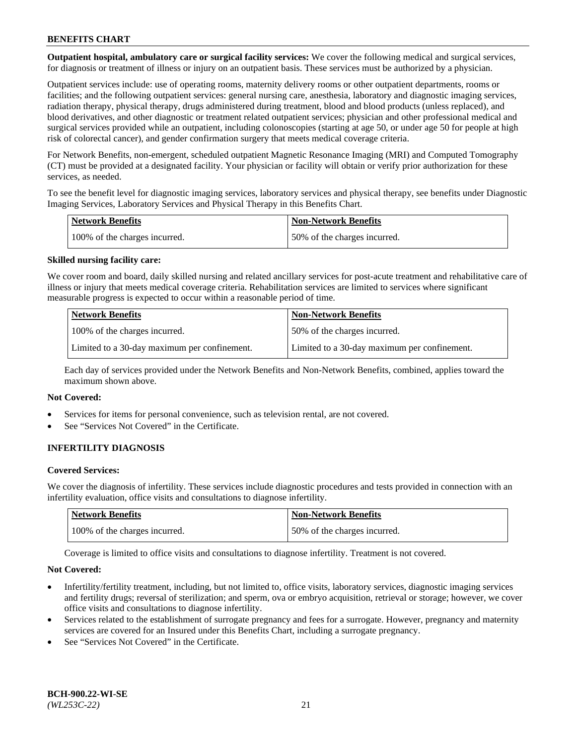**Outpatient hospital, ambulatory care or surgical facility services:** We cover the following medical and surgical services, for diagnosis or treatment of illness or injury on an outpatient basis. These services must be authorized by a physician.

Outpatient services include: use of operating rooms, maternity delivery rooms or other outpatient departments, rooms or facilities; and the following outpatient services: general nursing care, anesthesia, laboratory and diagnostic imaging services, radiation therapy, physical therapy, drugs administered during treatment, blood and blood products (unless replaced), and blood derivatives, and other diagnostic or treatment related outpatient services; physician and other professional medical and surgical services provided while an outpatient, including colonoscopies (starting at age 50, or under age 50 for people at high risk of colorectal cancer), and gender confirmation surgery that meets medical coverage criteria.

For Network Benefits, non-emergent, scheduled outpatient Magnetic Resonance Imaging (MRI) and Computed Tomography (CT) must be provided at a designated facility. Your physician or facility will obtain or verify prior authorization for these services, as needed.

To see the benefit level for diagnostic imaging services, laboratory services and physical therapy, see benefits under Diagnostic Imaging Services, Laboratory Services and Physical Therapy in this Benefits Chart.

| <b>Network Benefits</b>       | <b>Non-Network Benefits</b>  |
|-------------------------------|------------------------------|
| 100% of the charges incurred. | 50% of the charges incurred. |

### **Skilled nursing facility care:**

We cover room and board, daily skilled nursing and related ancillary services for post-acute treatment and rehabilitative care of illness or injury that meets medical coverage criteria. Rehabilitation services are limited to services where significant measurable progress is expected to occur within a reasonable period of time.

| <b>Network Benefits</b>                      | <b>Non-Network Benefits</b>                  |
|----------------------------------------------|----------------------------------------------|
| 100% of the charges incurred.                | 50% of the charges incurred.                 |
| Limited to a 30-day maximum per confinement. | Limited to a 30-day maximum per confinement. |

Each day of services provided under the Network Benefits and Non-Network Benefits, combined, applies toward the maximum shown above.

## **Not Covered:**

- Services for items for personal convenience, such as television rental, are not covered.
- See "Services Not Covered" in the Certificate.

## **INFERTILITY DIAGNOSIS**

### **Covered Services:**

We cover the diagnosis of infertility. These services include diagnostic procedures and tests provided in connection with an infertility evaluation, office visits and consultations to diagnose infertility.

| <b>Network Benefits</b>       | <b>Non-Network Benefits</b>  |
|-------------------------------|------------------------------|
| 100% of the charges incurred. | 50% of the charges incurred. |

Coverage is limited to office visits and consultations to diagnose infertility. Treatment is not covered.

#### **Not Covered:**

- Infertility/fertility treatment, including, but not limited to, office visits, laboratory services, diagnostic imaging services and fertility drugs; reversal of sterilization; and sperm, ova or embryo acquisition, retrieval or storage; however, we cover office visits and consultations to diagnose infertility.
- Services related to the establishment of surrogate pregnancy and fees for a surrogate. However, pregnancy and maternity services are covered for an Insured under this Benefits Chart, including a surrogate pregnancy.
- See "Services Not Covered" in the Certificate.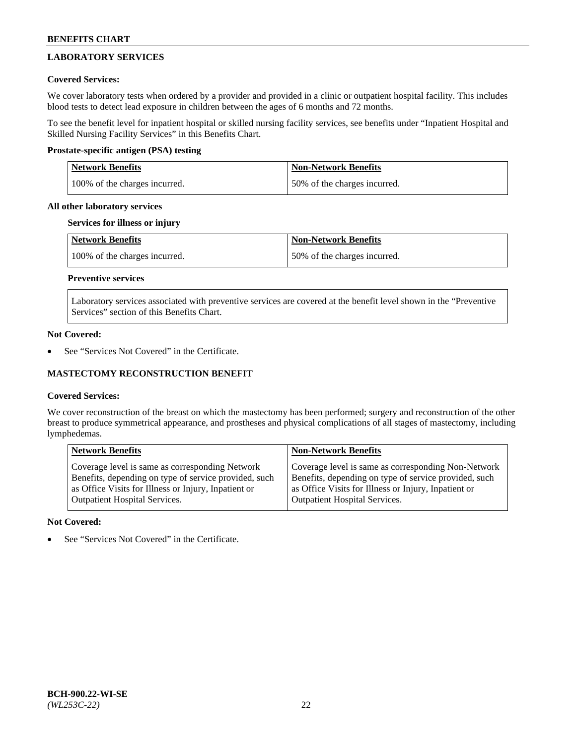# **LABORATORY SERVICES**

## **Covered Services:**

We cover laboratory tests when ordered by a provider and provided in a clinic or outpatient hospital facility. This includes blood tests to detect lead exposure in children between the ages of 6 months and 72 months.

To see the benefit level for inpatient hospital or skilled nursing facility services, see benefits under "Inpatient Hospital and Skilled Nursing Facility Services" in this Benefits Chart.

## **Prostate-specific antigen (PSA) testing**

| <b>Network Benefits</b>       | Non-Network Benefits         |
|-------------------------------|------------------------------|
| 100% of the charges incurred. | 50% of the charges incurred. |

### **All other laboratory services**

### **Services for illness or injury**

| Network Benefits              | <b>Non-Network Benefits</b>  |
|-------------------------------|------------------------------|
| 100% of the charges incurred. | 50% of the charges incurred. |

# **Preventive services**

Laboratory services associated with preventive services are covered at the benefit level shown in the "Preventive Services" section of this Benefits Chart.

### **Not Covered:**

See "Services Not Covered" in the Certificate.

## **MASTECTOMY RECONSTRUCTION BENEFIT**

## **Covered Services:**

We cover reconstruction of the breast on which the mastectomy has been performed; surgery and reconstruction of the other breast to produce symmetrical appearance, and prostheses and physical complications of all stages of mastectomy, including lymphedemas.

| <b>Network Benefits</b>                               | <b>Non-Network Benefits</b>                           |
|-------------------------------------------------------|-------------------------------------------------------|
| Coverage level is same as corresponding Network       | Coverage level is same as corresponding Non-Network   |
| Benefits, depending on type of service provided, such | Benefits, depending on type of service provided, such |
| as Office Visits for Illness or Injury, Inpatient or  | as Office Visits for Illness or Injury, Inpatient or  |
| <b>Outpatient Hospital Services.</b>                  | <b>Outpatient Hospital Services.</b>                  |

## **Not Covered:**

See "Services Not Covered" in the Certificate.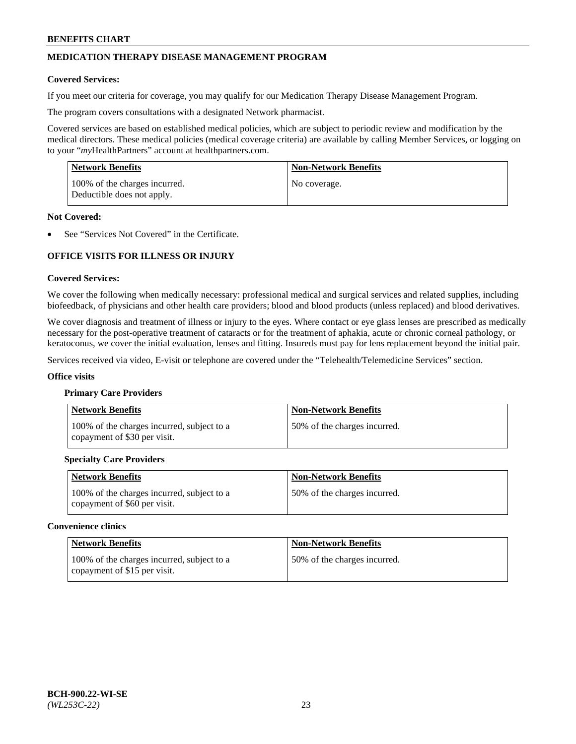# **MEDICATION THERAPY DISEASE MANAGEMENT PROGRAM**

### **Covered Services:**

If you meet our criteria for coverage, you may qualify for our Medication Therapy Disease Management Program.

The program covers consultations with a designated Network pharmacist.

Covered services are based on established medical policies, which are subject to periodic review and modification by the medical directors. These medical policies (medical coverage criteria) are available by calling Member Services, or logging on to your "*my*HealthPartners" account at [healthpartners.com.](http://www.healthpartners.com/)

| <b>Network Benefits</b>                                     | <b>Non-Network Benefits</b> |
|-------------------------------------------------------------|-----------------------------|
| 100% of the charges incurred.<br>Deductible does not apply. | No coverage.                |

### **Not Covered:**

See "Services Not Covered" in the Certificate.

# **OFFICE VISITS FOR ILLNESS OR INJURY**

#### **Covered Services:**

We cover the following when medically necessary: professional medical and surgical services and related supplies, including biofeedback, of physicians and other health care providers; blood and blood products (unless replaced) and blood derivatives.

We cover diagnosis and treatment of illness or injury to the eyes. Where contact or eye glass lenses are prescribed as medically necessary for the post-operative treatment of cataracts or for the treatment of aphakia, acute or chronic corneal pathology, or keratoconus, we cover the initial evaluation, lenses and fitting. Insureds must pay for lens replacement beyond the initial pair.

Services received via video, E-visit or telephone are covered under the "Telehealth/Telemedicine Services" section.

#### **Office visits**

#### **Primary Care Providers**

| <b>Network Benefits</b>                                                    | <b>Non-Network Benefits</b>  |
|----------------------------------------------------------------------------|------------------------------|
| 100% of the charges incurred, subject to a<br>copayment of \$30 per visit. | 50% of the charges incurred. |

## **Specialty Care Providers**

| <b>Network Benefits</b>                                                    | <b>Non-Network Benefits</b>  |
|----------------------------------------------------------------------------|------------------------------|
| 100% of the charges incurred, subject to a<br>copayment of \$60 per visit. | 50% of the charges incurred. |

#### **Convenience clinics**

| <b>Network Benefits</b>                                                    | <b>Non-Network Benefits</b>  |
|----------------------------------------------------------------------------|------------------------------|
| 100% of the charges incurred, subject to a<br>copayment of \$15 per visit. | 50% of the charges incurred. |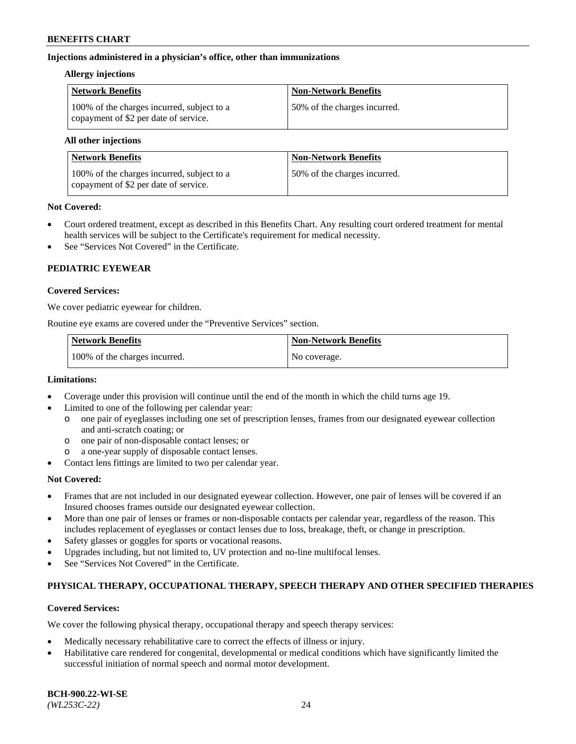## **Injections administered in a physician's office, other than immunizations**

### **Allergy injections**

| <b>Network Benefits</b>                                                             | <b>Non-Network Benefits</b>  |
|-------------------------------------------------------------------------------------|------------------------------|
| 100% of the charges incurred, subject to a<br>copayment of \$2 per date of service. | 50% of the charges incurred. |

#### **All other injections**

| Network Benefits                                                                    | <b>Non-Network Benefits</b>  |
|-------------------------------------------------------------------------------------|------------------------------|
| 100% of the charges incurred, subject to a<br>copayment of \$2 per date of service. | 50% of the charges incurred. |

## **Not Covered:**

- Court ordered treatment, except as described in this Benefits Chart. Any resulting court ordered treatment for mental health services will be subject to the Certificate's requirement for medical necessity.
- See "Services Not Covered" in the Certificate.

# **PEDIATRIC EYEWEAR**

### **Covered Services:**

We cover pediatric eyewear for children.

Routine eye exams are covered under the "Preventive Services" section.

| <b>Network Benefits</b>       | <b>Non-Network Benefits</b> |
|-------------------------------|-----------------------------|
| 100% of the charges incurred. | No coverage.                |

## **Limitations:**

- Coverage under this provision will continue until the end of the month in which the child turns age 19.
- Limited to one of the following per calendar year:
	- o one pair of eyeglasses including one set of prescription lenses, frames from our designated eyewear collection and anti-scratch coating; or
	- o one pair of non-disposable contact lenses; or
	- o a one-year supply of disposable contact lenses.
- Contact lens fittings are limited to two per calendar year.

## **Not Covered:**

- Frames that are not included in our designated eyewear collection. However, one pair of lenses will be covered if an Insured chooses frames outside our designated eyewear collection.
- More than one pair of lenses or frames or non-disposable contacts per calendar year, regardless of the reason. This includes replacement of eyeglasses or contact lenses due to loss, breakage, theft, or change in prescription.
- Safety glasses or goggles for sports or vocational reasons.
- Upgrades including, but not limited to, UV protection and no-line multifocal lenses.
- See "Services Not Covered" in the Certificate.

## **PHYSICAL THERAPY, OCCUPATIONAL THERAPY, SPEECH THERAPY AND OTHER SPECIFIED THERAPIES**

## **Covered Services:**

We cover the following physical therapy, occupational therapy and speech therapy services:

- Medically necessary rehabilitative care to correct the effects of illness or injury.
- Habilitative care rendered for congenital, developmental or medical conditions which have significantly limited the successful initiation of normal speech and normal motor development.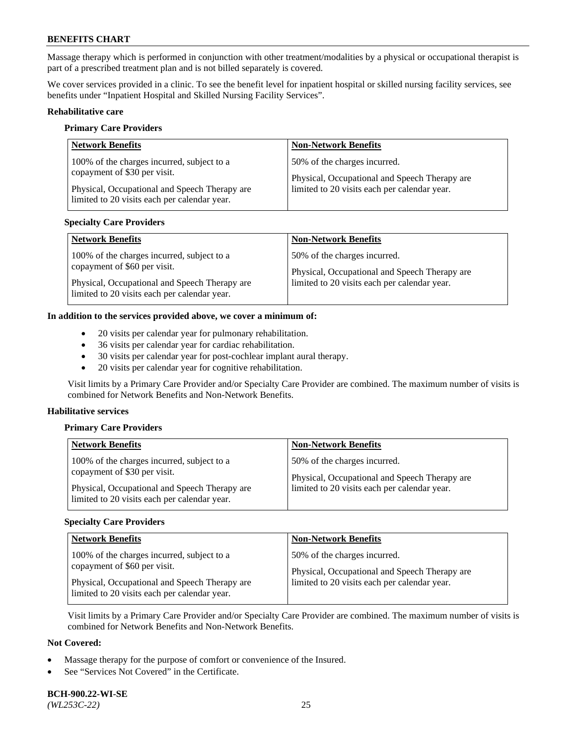Massage therapy which is performed in conjunction with other treatment/modalities by a physical or occupational therapist is part of a prescribed treatment plan and is not billed separately is covered.

We cover services provided in a clinic. To see the benefit level for inpatient hospital or skilled nursing facility services, see benefits under "Inpatient Hospital and Skilled Nursing Facility Services".

### **Rehabilitative care**

#### **Primary Care Providers**

| <b>Network Benefits</b>                                                                                                                                                     | <b>Non-Network Benefits</b>                                                                                                   |
|-----------------------------------------------------------------------------------------------------------------------------------------------------------------------------|-------------------------------------------------------------------------------------------------------------------------------|
| 100% of the charges incurred, subject to a<br>copayment of \$30 per visit.<br>Physical, Occupational and Speech Therapy are<br>limited to 20 visits each per calendar year. | 50% of the charges incurred.<br>Physical, Occupational and Speech Therapy are<br>limited to 20 visits each per calendar year. |

## **Specialty Care Providers**

| <b>Network Benefits</b>                       | <b>Non-Network Benefits</b>                   |
|-----------------------------------------------|-----------------------------------------------|
| 100% of the charges incurred, subject to a    | 50% of the charges incurred.                  |
| copayment of \$60 per visit.                  | Physical, Occupational and Speech Therapy are |
| Physical, Occupational and Speech Therapy are | limited to 20 visits each per calendar year.  |
| limited to 20 visits each per calendar year.  |                                               |

#### **In addition to the services provided above, we cover a minimum of:**

- 20 visits per calendar year for pulmonary rehabilitation.
- 36 visits per calendar year for cardiac rehabilitation.
- 30 visits per calendar year for post-cochlear implant aural therapy.
- 20 visits per calendar year for cognitive rehabilitation.

Visit limits by a Primary Care Provider and/or Specialty Care Provider are combined. The maximum number of visits is combined for Network Benefits and Non-Network Benefits.

#### **Habilitative services**

#### **Primary Care Providers**

| <b>Network Benefits</b>                                                                       | <b>Non-Network Benefits</b>                   |
|-----------------------------------------------------------------------------------------------|-----------------------------------------------|
| 100% of the charges incurred, subject to a<br>copayment of \$30 per visit.                    | 50% of the charges incurred.                  |
|                                                                                               | Physical, Occupational and Speech Therapy are |
| Physical, Occupational and Speech Therapy are<br>limited to 20 visits each per calendar year. | limited to 20 visits each per calendar year.  |

### **Specialty Care Providers**

| <b>Network Benefits</b>                                                    | <b>Non-Network Benefits</b>                                                                   |
|----------------------------------------------------------------------------|-----------------------------------------------------------------------------------------------|
| 100% of the charges incurred, subject to a<br>copayment of \$60 per visit. | 50% of the charges incurred.                                                                  |
| Physical, Occupational and Speech Therapy are                              | Physical, Occupational and Speech Therapy are<br>limited to 20 visits each per calendar year. |
| limited to 20 visits each per calendar year.                               |                                                                                               |

Visit limits by a Primary Care Provider and/or Specialty Care Provider are combined. The maximum number of visits is combined for Network Benefits and Non-Network Benefits.

# **Not Covered:**

- Massage therapy for the purpose of comfort or convenience of the Insured.
- See "Services Not Covered" in the Certificate.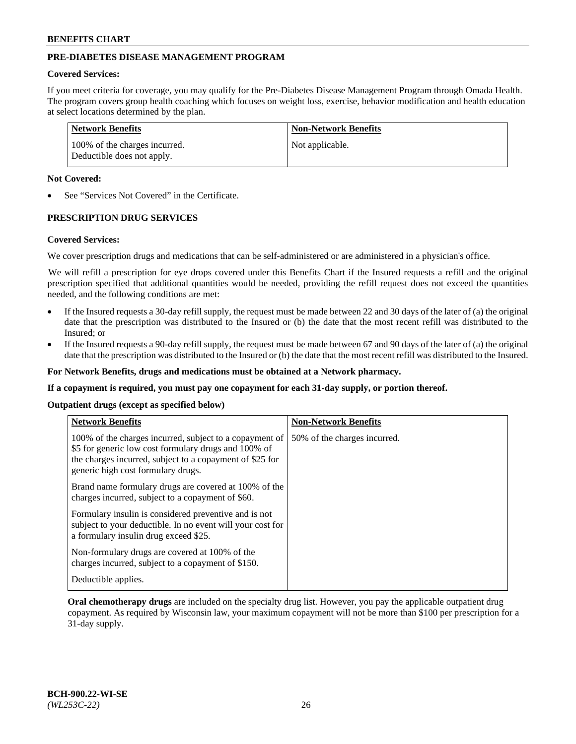# **PRE-DIABETES DISEASE MANAGEMENT PROGRAM**

### **Covered Services:**

If you meet criteria for coverage, you may qualify for the Pre-Diabetes Disease Management Program through Omada Health. The program covers group health coaching which focuses on weight loss, exercise, behavior modification and health education at select locations determined by the plan.

| Network Benefits                                            | <b>Non-Network Benefits</b> |
|-------------------------------------------------------------|-----------------------------|
| 100% of the charges incurred.<br>Deductible does not apply. | Not applicable.             |

### **Not Covered:**

See "Services Not Covered" in the Certificate.

## **PRESCRIPTION DRUG SERVICES**

#### **Covered Services:**

We cover prescription drugs and medications that can be self-administered or are administered in a physician's office.

We will refill a prescription for eye drops covered under this Benefits Chart if the Insured requests a refill and the original prescription specified that additional quantities would be needed, providing the refill request does not exceed the quantities needed, and the following conditions are met:

- If the Insured requests a 30-day refill supply, the request must be made between 22 and 30 days of the later of (a) the original date that the prescription was distributed to the Insured or (b) the date that the most recent refill was distributed to the Insured; or
- If the Insured requests a 90-day refill supply, the request must be made between 67 and 90 days of the later of (a) the original date that the prescription was distributed to the Insured or (b) the date that the most recent refill was distributed to the Insured.

**For Network Benefits, drugs and medications must be obtained at a Network pharmacy.**

**If a copayment is required, you must pay one copayment for each 31-day supply, or portion thereof.**

**Outpatient drugs (except as specified below)**

| <b>Network Benefits</b>                                                                                                                                                                                           | <b>Non-Network Benefits</b>  |
|-------------------------------------------------------------------------------------------------------------------------------------------------------------------------------------------------------------------|------------------------------|
| 100% of the charges incurred, subject to a copayment of<br>\$5 for generic low cost formulary drugs and 100% of<br>the charges incurred, subject to a copayment of \$25 for<br>generic high cost formulary drugs. | 50% of the charges incurred. |
| Brand name formulary drugs are covered at 100% of the<br>charges incurred, subject to a copayment of \$60.                                                                                                        |                              |
| Formulary insulin is considered preventive and is not<br>subject to your deductible. In no event will your cost for<br>a formulary insulin drug exceed \$25.                                                      |                              |
| Non-formulary drugs are covered at 100% of the<br>charges incurred, subject to a copayment of \$150.                                                                                                              |                              |
| Deductible applies.                                                                                                                                                                                               |                              |

**Oral chemotherapy drugs** are included on the specialty drug list. However, you pay the applicable outpatient drug copayment. As required by Wisconsin law, your maximum copayment will not be more than \$100 per prescription for a 31-day supply.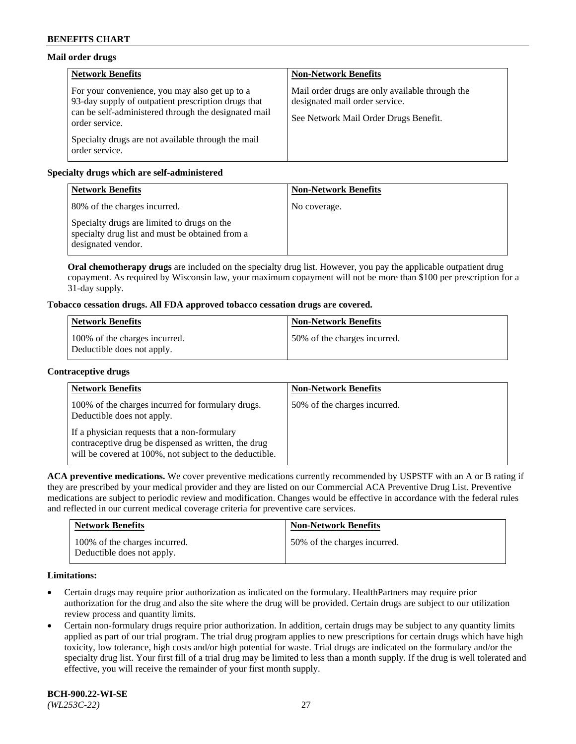# **Mail order drugs**

| <b>Network Benefits</b>                                                                                                                                                         | <b>Non-Network Benefits</b>                                                                                                |
|---------------------------------------------------------------------------------------------------------------------------------------------------------------------------------|----------------------------------------------------------------------------------------------------------------------------|
| For your convenience, you may also get up to a<br>93-day supply of outpatient prescription drugs that<br>can be self-administered through the designated mail<br>order service. | Mail order drugs are only available through the<br>designated mail order service.<br>See Network Mail Order Drugs Benefit. |
| Specialty drugs are not available through the mail<br>order service.                                                                                                            |                                                                                                                            |

# **Specialty drugs which are self-administered**

| <b>Network Benefits</b>                                                                                              | <b>Non-Network Benefits</b> |
|----------------------------------------------------------------------------------------------------------------------|-----------------------------|
| 80% of the charges incurred.                                                                                         | No coverage.                |
| Specialty drugs are limited to drugs on the<br>specialty drug list and must be obtained from a<br>designated vendor. |                             |

**Oral chemotherapy drugs** are included on the specialty drug list. However, you pay the applicable outpatient drug copayment. As required by Wisconsin law, your maximum copayment will not be more than \$100 per prescription for a 31-day supply.

# **Tobacco cessation drugs. All FDA approved tobacco cessation drugs are covered.**

| <b>Network Benefits</b>                                     | <b>Non-Network Benefits</b>   |
|-------------------------------------------------------------|-------------------------------|
| 100% of the charges incurred.<br>Deductible does not apply. | 150% of the charges incurred. |

### **Contraceptive drugs**

| <b>Network Benefits</b>                                                                                                                                         | <b>Non-Network Benefits</b>  |
|-----------------------------------------------------------------------------------------------------------------------------------------------------------------|------------------------------|
| 100% of the charges incurred for formulary drugs.<br>Deductible does not apply.                                                                                 | 50% of the charges incurred. |
| If a physician requests that a non-formulary<br>contraceptive drug be dispensed as written, the drug<br>will be covered at 100%, not subject to the deductible. |                              |

**ACA preventive medications.** We cover preventive medications currently recommended by USPSTF with an A or B rating if they are prescribed by your medical provider and they are listed on our Commercial ACA Preventive Drug List. Preventive medications are subject to periodic review and modification. Changes would be effective in accordance with the federal rules and reflected in our current medical coverage criteria for preventive care services.

| <b>Network Benefits</b>                                     | <b>Non-Network Benefits</b>  |
|-------------------------------------------------------------|------------------------------|
| 100% of the charges incurred.<br>Deductible does not apply. | 50% of the charges incurred. |

## **Limitations:**

- Certain drugs may require prior authorization as indicated on the formulary. HealthPartners may require prior authorization for the drug and also the site where the drug will be provided. Certain drugs are subject to our utilization review process and quantity limits.
- Certain non-formulary drugs require prior authorization. In addition, certain drugs may be subject to any quantity limits applied as part of our trial program. The trial drug program applies to new prescriptions for certain drugs which have high toxicity, low tolerance, high costs and/or high potential for waste. Trial drugs are indicated on the formulary and/or the specialty drug list. Your first fill of a trial drug may be limited to less than a month supply. If the drug is well tolerated and effective, you will receive the remainder of your first month supply.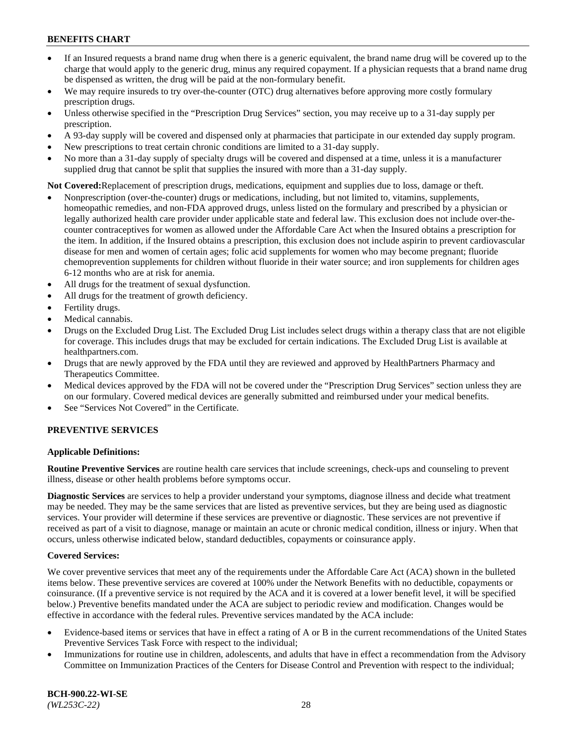- If an Insured requests a brand name drug when there is a generic equivalent, the brand name drug will be covered up to the charge that would apply to the generic drug, minus any required copayment. If a physician requests that a brand name drug be dispensed as written, the drug will be paid at the non-formulary benefit.
- We may require insureds to try over-the-counter (OTC) drug alternatives before approving more costly formulary prescription drugs.
- Unless otherwise specified in the "Prescription Drug Services" section, you may receive up to a 31-day supply per prescription.
- A 93-day supply will be covered and dispensed only at pharmacies that participate in our extended day supply program.
- New prescriptions to treat certain chronic conditions are limited to a 31-day supply.
- No more than a 31-day supply of specialty drugs will be covered and dispensed at a time, unless it is a manufacturer supplied drug that cannot be split that supplies the insured with more than a 31-day supply.

**Not Covered:**Replacement of prescription drugs, medications, equipment and supplies due to loss, damage or theft.

- Nonprescription (over-the-counter) drugs or medications, including, but not limited to, vitamins, supplements, homeopathic remedies, and non-FDA approved drugs, unless listed on the formulary and prescribed by a physician or legally authorized health care provider under applicable state and federal law. This exclusion does not include over-thecounter contraceptives for women as allowed under the Affordable Care Act when the Insured obtains a prescription for the item. In addition, if the Insured obtains a prescription, this exclusion does not include aspirin to prevent cardiovascular disease for men and women of certain ages; folic acid supplements for women who may become pregnant; fluoride chemoprevention supplements for children without fluoride in their water source; and iron supplements for children ages 6-12 months who are at risk for anemia.
- All drugs for the treatment of sexual dysfunction.
- All drugs for the treatment of growth deficiency.
- Fertility drugs.
- Medical cannabis.
- Drugs on the Excluded Drug List. The Excluded Drug List includes select drugs within a therapy class that are not eligible for coverage. This includes drugs that may be excluded for certain indications. The Excluded Drug List is available at [healthpartners.com.](http://www.healthpartners.com/)
- Drugs that are newly approved by the FDA until they are reviewed and approved by HealthPartners Pharmacy and Therapeutics Committee.
- Medical devices approved by the FDA will not be covered under the "Prescription Drug Services" section unless they are on our formulary. Covered medical devices are generally submitted and reimbursed under your medical benefits.
- See "Services Not Covered" in the Certificate.

## **PREVENTIVE SERVICES**

## **Applicable Definitions:**

**Routine Preventive Services** are routine health care services that include screenings, check-ups and counseling to prevent illness, disease or other health problems before symptoms occur.

**Diagnostic Services** are services to help a provider understand your symptoms, diagnose illness and decide what treatment may be needed. They may be the same services that are listed as preventive services, but they are being used as diagnostic services. Your provider will determine if these services are preventive or diagnostic. These services are not preventive if received as part of a visit to diagnose, manage or maintain an acute or chronic medical condition, illness or injury. When that occurs, unless otherwise indicated below, standard deductibles, copayments or coinsurance apply.

#### **Covered Services:**

We cover preventive services that meet any of the requirements under the Affordable Care Act (ACA) shown in the bulleted items below. These preventive services are covered at 100% under the Network Benefits with no deductible, copayments or coinsurance. (If a preventive service is not required by the ACA and it is covered at a lower benefit level, it will be specified below.) Preventive benefits mandated under the ACA are subject to periodic review and modification. Changes would be effective in accordance with the federal rules. Preventive services mandated by the ACA include:

- Evidence-based items or services that have in effect a rating of A or B in the current recommendations of the United States Preventive Services Task Force with respect to the individual;
- Immunizations for routine use in children, adolescents, and adults that have in effect a recommendation from the Advisory Committee on Immunization Practices of the Centers for Disease Control and Prevention with respect to the individual;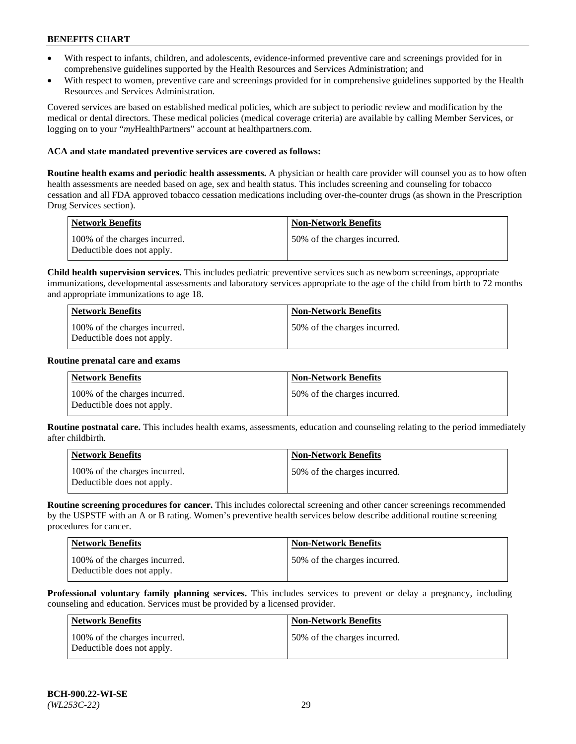- With respect to infants, children, and adolescents, evidence-informed preventive care and screenings provided for in comprehensive guidelines supported by the Health Resources and Services Administration; and
- With respect to women, preventive care and screenings provided for in comprehensive guidelines supported by the Health Resources and Services Administration.

Covered services are based on established medical policies, which are subject to periodic review and modification by the medical or dental directors. These medical policies (medical coverage criteria) are available by calling Member Services, or logging on to your "*my*HealthPartners" account at [healthpartners.com.](https://www.healthpartners.com/hp/index.html)

### **ACA and state mandated preventive services are covered as follows:**

**Routine health exams and periodic health assessments.** A physician or health care provider will counsel you as to how often health assessments are needed based on age, sex and health status. This includes screening and counseling for tobacco cessation and all FDA approved tobacco cessation medications including over-the-counter drugs (as shown in the Prescription Drug Services section).

| <b>Network Benefits</b>                                     | <b>Non-Network Benefits</b>  |
|-------------------------------------------------------------|------------------------------|
| 100% of the charges incurred.<br>Deductible does not apply. | 50% of the charges incurred. |

**Child health supervision services.** This includes pediatric preventive services such as newborn screenings, appropriate immunizations, developmental assessments and laboratory services appropriate to the age of the child from birth to 72 months and appropriate immunizations to age 18.

| <b>Network Benefits</b>                                     | <b>Non-Network Benefits</b>  |
|-------------------------------------------------------------|------------------------------|
| 100% of the charges incurred.<br>Deductible does not apply. | 50% of the charges incurred. |

#### **Routine prenatal care and exams**

| Network Benefits                                            | <b>Non-Network Benefits</b>  |
|-------------------------------------------------------------|------------------------------|
| 100% of the charges incurred.<br>Deductible does not apply. | 50% of the charges incurred. |

**Routine postnatal care.** This includes health exams, assessments, education and counseling relating to the period immediately after childbirth.

| Network Benefits                                            | <b>Non-Network Benefits</b>  |
|-------------------------------------------------------------|------------------------------|
| 100% of the charges incurred.<br>Deductible does not apply. | 50% of the charges incurred. |

**Routine screening procedures for cancer.** This includes colorectal screening and other cancer screenings recommended by the USPSTF with an A or B rating. Women's preventive health services below describe additional routine screening procedures for cancer.

| Network Benefits                                            | <b>Non-Network Benefits</b>  |
|-------------------------------------------------------------|------------------------------|
| 100% of the charges incurred.<br>Deductible does not apply. | 50% of the charges incurred. |

**Professional voluntary family planning services.** This includes services to prevent or delay a pregnancy, including counseling and education. Services must be provided by a licensed provider.

| <b>Network Benefits</b>                                     | <b>Non-Network Benefits</b>  |
|-------------------------------------------------------------|------------------------------|
| 100% of the charges incurred.<br>Deductible does not apply. | 50% of the charges incurred. |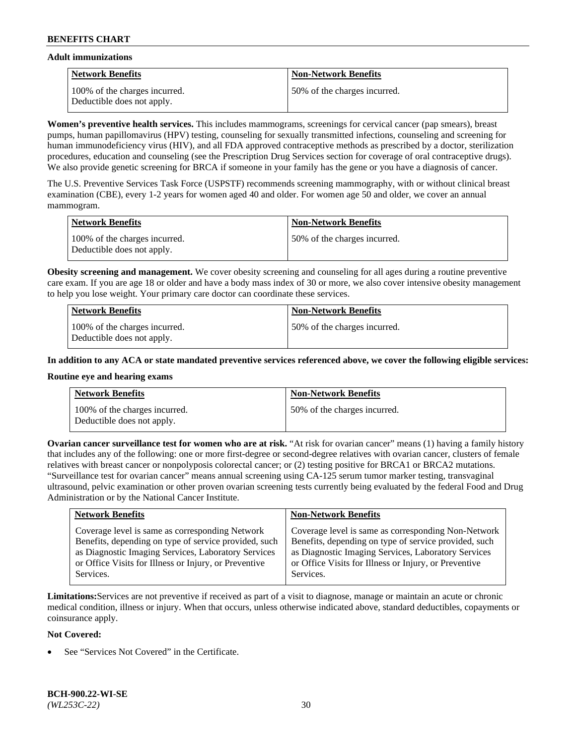### **Adult immunizations**

| <b>Network Benefits</b>                                     | <b>Non-Network Benefits</b>  |
|-------------------------------------------------------------|------------------------------|
| 100% of the charges incurred.<br>Deductible does not apply. | 50% of the charges incurred. |

**Women's preventive health services.** This includes mammograms, screenings for cervical cancer (pap smears), breast pumps, human papillomavirus (HPV) testing, counseling for sexually transmitted infections, counseling and screening for human immunodeficiency virus (HIV), and all FDA approved contraceptive methods as prescribed by a doctor, sterilization procedures, education and counseling (see the Prescription Drug Services section for coverage of oral contraceptive drugs). We also provide genetic screening for BRCA if someone in your family has the gene or you have a diagnosis of cancer.

The U.S. Preventive Services Task Force (USPSTF) recommends screening mammography, with or without clinical breast examination (CBE), every 1-2 years for women aged 40 and older. For women age 50 and older, we cover an annual mammogram.

| <b>Network Benefits</b>                                     | <b>Non-Network Benefits</b>  |
|-------------------------------------------------------------|------------------------------|
| 100% of the charges incurred.<br>Deductible does not apply. | 50% of the charges incurred. |

**Obesity screening and management.** We cover obesity screening and counseling for all ages during a routine preventive care exam. If you are age 18 or older and have a body mass index of 30 or more, we also cover intensive obesity management to help you lose weight. Your primary care doctor can coordinate these services.

| <b>Network Benefits</b>                                     | <b>Non-Network Benefits</b>  |
|-------------------------------------------------------------|------------------------------|
| 100% of the charges incurred.<br>Deductible does not apply. | 50% of the charges incurred. |

**In addition to any ACA or state mandated preventive services referenced above, we cover the following eligible services:**

### **Routine eye and hearing exams**

| <b>Network Benefits</b>                                     | <b>Non-Network Benefits</b>  |
|-------------------------------------------------------------|------------------------------|
| 100% of the charges incurred.<br>Deductible does not apply. | 50% of the charges incurred. |

**Ovarian cancer surveillance test for women who are at risk.** "At risk for ovarian cancer" means (1) having a family history that includes any of the following: one or more first-degree or second-degree relatives with ovarian cancer, clusters of female relatives with breast cancer or nonpolyposis colorectal cancer; or (2) testing positive for BRCA1 or BRCA2 mutations. "Surveillance test for ovarian cancer" means annual screening using CA-125 serum tumor marker testing, transvaginal ultrasound, pelvic examination or other proven ovarian screening tests currently being evaluated by the federal Food and Drug Administration or by the National Cancer Institute.

| <b>Network Benefits</b>                               | <b>Non-Network Benefits</b>                           |
|-------------------------------------------------------|-------------------------------------------------------|
| Coverage level is same as corresponding Network       | Coverage level is same as corresponding Non-Network   |
| Benefits, depending on type of service provided, such | Benefits, depending on type of service provided, such |
| as Diagnostic Imaging Services, Laboratory Services   | as Diagnostic Imaging Services, Laboratory Services   |
| or Office Visits for Illness or Injury, or Preventive | or Office Visits for Illness or Injury, or Preventive |
| Services.                                             | Services.                                             |

**Limitations:**Services are not preventive if received as part of a visit to diagnose, manage or maintain an acute or chronic medical condition, illness or injury. When that occurs, unless otherwise indicated above, standard deductibles, copayments or coinsurance apply.

## **Not Covered:**

See "Services Not Covered" in the Certificate.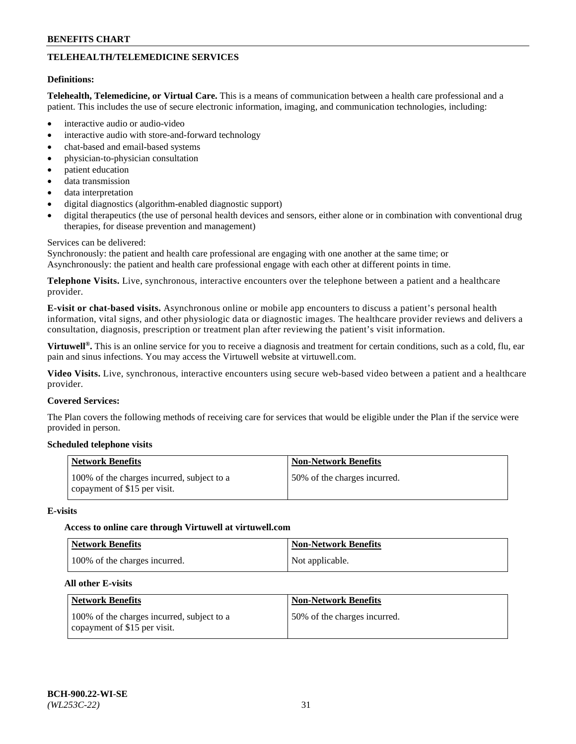# **TELEHEALTH/TELEMEDICINE SERVICES**

### **Definitions:**

**Telehealth, Telemedicine, or Virtual Care.** This is a means of communication between a health care professional and a patient. This includes the use of secure electronic information, imaging, and communication technologies, including:

- interactive audio or audio-video
- interactive audio with store-and-forward technology
- chat-based and email-based systems
- physician-to-physician consultation
- patient education
- data transmission
- data interpretation
- digital diagnostics (algorithm-enabled diagnostic support)
- digital therapeutics (the use of personal health devices and sensors, either alone or in combination with conventional drug therapies, for disease prevention and management)

### Services can be delivered:

Synchronously: the patient and health care professional are engaging with one another at the same time; or Asynchronously: the patient and health care professional engage with each other at different points in time.

**Telephone Visits.** Live, synchronous, interactive encounters over the telephone between a patient and a healthcare provider.

**E-visit or chat-based visits.** Asynchronous online or mobile app encounters to discuss a patient's personal health information, vital signs, and other physiologic data or diagnostic images. The healthcare provider reviews and delivers a consultation, diagnosis, prescription or treatment plan after reviewing the patient's visit information.

**Virtuwell®.** This is an online service for you to receive a diagnosis and treatment for certain conditions, such as a cold, flu, ear pain and sinus infections. You may access the Virtuwell website at [virtuwell.com.](https://www.virtuwell.com/)

**Video Visits.** Live, synchronous, interactive encounters using secure web-based video between a patient and a healthcare provider.

### **Covered Services:**

The Plan covers the following methods of receiving care for services that would be eligible under the Plan if the service were provided in person.

## **Scheduled telephone visits**

| <b>Network Benefits</b>                                                    | <b>Non-Network Benefits</b>  |
|----------------------------------------------------------------------------|------------------------------|
| 100% of the charges incurred, subject to a<br>copayment of \$15 per visit. | 50% of the charges incurred. |

#### **E-visits**

#### **Access to online care through Virtuwell at [virtuwell.com](https://www.virtuwell.com/)**

| <b>Network Benefits</b>       | <b>Non-Network Benefits</b> |
|-------------------------------|-----------------------------|
| 100% of the charges incurred. | Not applicable.             |

#### **All other E-visits**

| <b>Network Benefits</b>                                                    | <b>Non-Network Benefits</b>  |
|----------------------------------------------------------------------------|------------------------------|
| 100% of the charges incurred, subject to a<br>copayment of \$15 per visit. | 50% of the charges incurred. |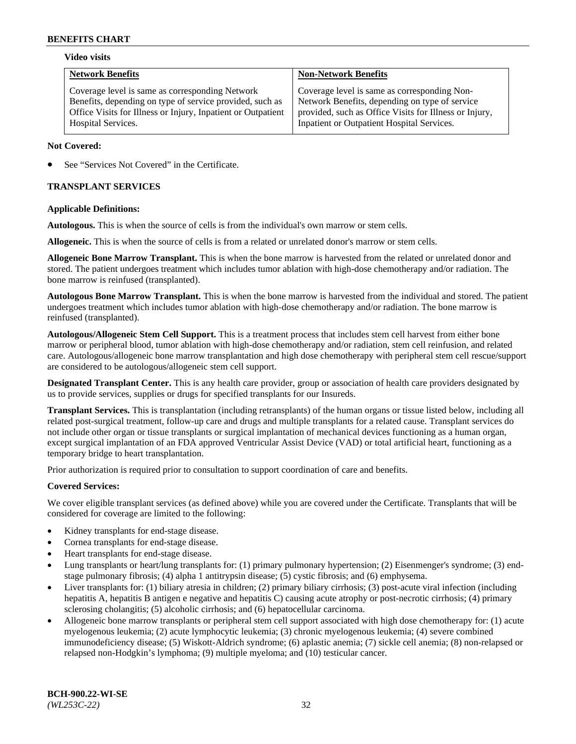## **Video visits**

| <b>Network Benefits</b>                                                                                                                                                                           | <b>Non-Network Benefits</b>                                                                                                                                                                            |
|---------------------------------------------------------------------------------------------------------------------------------------------------------------------------------------------------|--------------------------------------------------------------------------------------------------------------------------------------------------------------------------------------------------------|
| Coverage level is same as corresponding Network<br>Benefits, depending on type of service provided, such as<br>Office Visits for Illness or Injury, Inpatient or Outpatient<br>Hospital Services. | Coverage level is same as corresponding Non-<br>Network Benefits, depending on type of service<br>provided, such as Office Visits for Illness or Injury,<br>Inpatient or Outpatient Hospital Services. |
|                                                                                                                                                                                                   |                                                                                                                                                                                                        |

### **Not Covered:**

See "Services Not Covered" in the Certificate.

## **TRANSPLANT SERVICES**

### **Applicable Definitions:**

**Autologous.** This is when the source of cells is from the individual's own marrow or stem cells.

**Allogeneic.** This is when the source of cells is from a related or unrelated donor's marrow or stem cells.

**Allogeneic Bone Marrow Transplant.** This is when the bone marrow is harvested from the related or unrelated donor and stored. The patient undergoes treatment which includes tumor ablation with high-dose chemotherapy and/or radiation. The bone marrow is reinfused (transplanted).

**Autologous Bone Marrow Transplant.** This is when the bone marrow is harvested from the individual and stored. The patient undergoes treatment which includes tumor ablation with high-dose chemotherapy and/or radiation. The bone marrow is reinfused (transplanted).

**Autologous/Allogeneic Stem Cell Support.** This is a treatment process that includes stem cell harvest from either bone marrow or peripheral blood, tumor ablation with high-dose chemotherapy and/or radiation, stem cell reinfusion, and related care. Autologous/allogeneic bone marrow transplantation and high dose chemotherapy with peripheral stem cell rescue/support are considered to be autologous/allogeneic stem cell support.

**Designated Transplant Center.** This is any health care provider, group or association of health care providers designated by us to provide services, supplies or drugs for specified transplants for our Insureds.

**Transplant Services.** This is transplantation (including retransplants) of the human organs or tissue listed below, including all related post-surgical treatment, follow-up care and drugs and multiple transplants for a related cause. Transplant services do not include other organ or tissue transplants or surgical implantation of mechanical devices functioning as a human organ, except surgical implantation of an FDA approved Ventricular Assist Device (VAD) or total artificial heart, functioning as a temporary bridge to heart transplantation.

Prior authorization is required prior to consultation to support coordination of care and benefits.

# **Covered Services:**

We cover eligible transplant services (as defined above) while you are covered under the Certificate. Transplants that will be considered for coverage are limited to the following:

- Kidney transplants for end-stage disease.
- Cornea transplants for end-stage disease.
- Heart transplants for end-stage disease.
- Lung transplants or heart/lung transplants for: (1) primary pulmonary hypertension; (2) Eisenmenger's syndrome; (3) endstage pulmonary fibrosis; (4) alpha 1 antitrypsin disease; (5) cystic fibrosis; and (6) emphysema.
- Liver transplants for: (1) biliary atresia in children; (2) primary biliary cirrhosis; (3) post-acute viral infection (including hepatitis A, hepatitis B antigen e negative and hepatitis C) causing acute atrophy or post-necrotic cirrhosis; (4) primary sclerosing cholangitis; (5) alcoholic cirrhosis; and (6) hepatocellular carcinoma.
- Allogeneic bone marrow transplants or peripheral stem cell support associated with high dose chemotherapy for: (1) acute myelogenous leukemia; (2) acute lymphocytic leukemia; (3) chronic myelogenous leukemia; (4) severe combined immunodeficiency disease; (5) Wiskott-Aldrich syndrome; (6) aplastic anemia; (7) sickle cell anemia; (8) non-relapsed or relapsed non-Hodgkin's lymphoma; (9) multiple myeloma; and (10) testicular cancer.